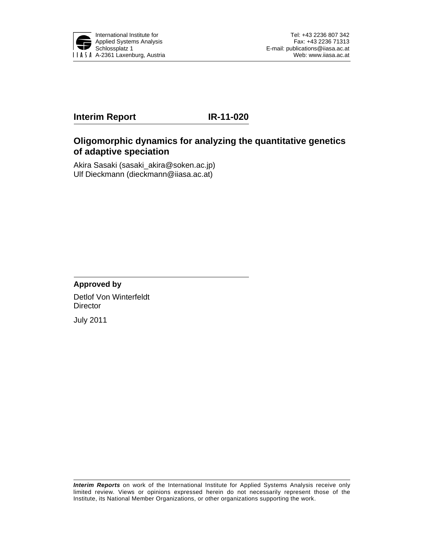

# **Interim Report IR-11-020**

# **Oligomorphic dynamics for analyzing the quantitative genetics of adaptive speciation**

Akira Sasaki (sasaki\_akira@soken.ac.jp) Ulf Dieckmann (dieckmann@iiasa.ac.at)

# **Approved by**

Detlof Von Winterfeldt **Director** 

July 2011

*Interim Reports* on work of the International Institute for Applied Systems Analysis receive only limited review. Views or opinions expressed herein do not necessarily represent those of the Institute, its National Member Organizations, or other organizations supporting the work.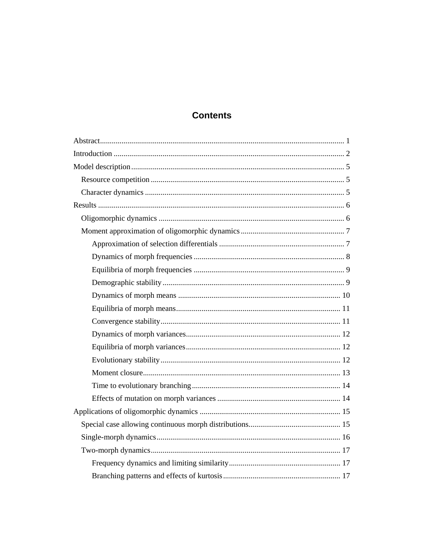# **Contents**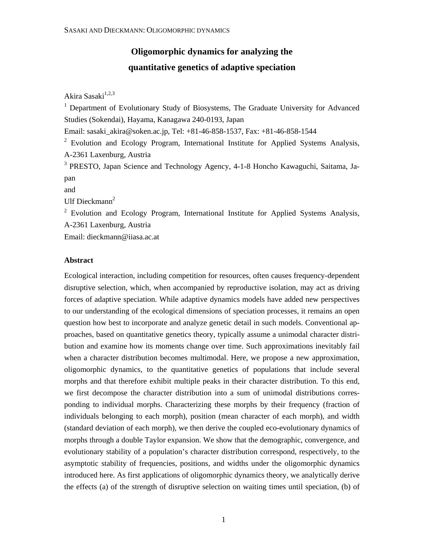# **Oligomorphic dynamics for analyzing the quantitative genetics of adaptive speciation**

Akira Sasaki $1,2,3$ 

<sup>1</sup> Department of Evolutionary Study of Biosystems, The Graduate University for Advanced Studies (Sokendai), Hayama, Kanagawa 240-0193, Japan

Email: sasaki\_akira@soken.ac.jp, Tel: +81-46-858-1537, Fax: +81-46-858-1544

<sup>2</sup> Evolution and Ecology Program, International Institute for Applied Systems Analysis, A-2361 Laxenburg, Austria

<sup>3</sup> PRESTO, Japan Science and Technology Agency, 4-1-8 Honcho Kawaguchi, Saitama, Japan

and

Ulf Dieckmann $2$ 

<sup>2</sup> Evolution and Ecology Program, International Institute for Applied Systems Analysis, A-2361 Laxenburg, Austria

Email: dieckmann@iiasa.ac.at

## **Abstract**

Ecological interaction, including competition for resources, often causes frequency-dependent disruptive selection, which, when accompanied by reproductive isolation, may act as driving forces of adaptive speciation. While adaptive dynamics models have added new perspectives to our understanding of the ecological dimensions of speciation processes, it remains an open question how best to incorporate and analyze genetic detail in such models. Conventional approaches, based on quantitative genetics theory, typically assume a unimodal character distribution and examine how its moments change over time. Such approximations inevitably fail when a character distribution becomes multimodal. Here, we propose a new approximation, oligomorphic dynamics, to the quantitative genetics of populations that include several morphs and that therefore exhibit multiple peaks in their character distribution. To this end, we first decompose the character distribution into a sum of unimodal distributions corresponding to individual morphs. Characterizing these morphs by their frequency (fraction of individuals belonging to each morph), position (mean character of each morph), and width (standard deviation of each morph), we then derive the coupled eco-evolutionary dynamics of morphs through a double Taylor expansion. We show that the demographic, convergence, and evolutionary stability of a population's character distribution correspond, respectively, to the asymptotic stability of frequencies, positions, and widths under the oligomorphic dynamics introduced here. As first applications of oligomorphic dynamics theory, we analytically derive the effects (a) of the strength of disruptive selection on waiting times until speciation, (b) of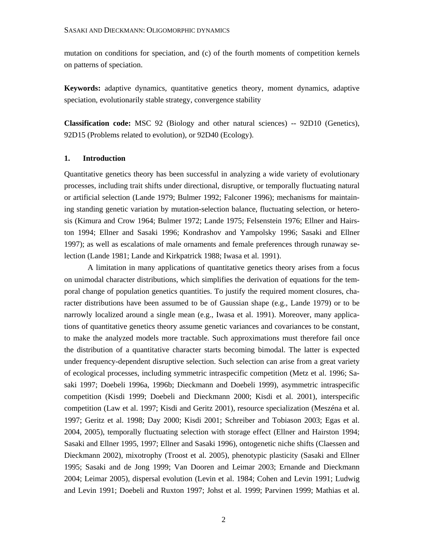mutation on conditions for speciation, and (c) of the fourth moments of competition kernels on patterns of speciation.

**Keywords:** adaptive dynamics, quantitative genetics theory, moment dynamics, adaptive speciation, evolutionarily stable strategy, convergence stability

**Classification code:** MSC 92 (Biology and other natural sciences) -- 92D10 (Genetics), 92D15 (Problems related to evolution), or 92D40 (Ecology).

#### **1. Introduction**

Quantitative genetics theory has been successful in analyzing a wide variety of evolutionary processes, including trait shifts under directional, disruptive, or temporally fluctuating natural or artificial selection (Lande 1979; Bulmer 1992; Falconer 1996); mechanisms for maintaining standing genetic variation by mutation-selection balance, fluctuating selection, or heterosis (Kimura and Crow 1964; Bulmer 1972; Lande 1975; Felsenstein 1976; Ellner and Hairston 1994; Ellner and Sasaki 1996; Kondrashov and Yampolsky 1996; Sasaki and Ellner 1997); as well as escalations of male ornaments and female preferences through runaway selection (Lande 1981; Lande and Kirkpatrick 1988; Iwasa et al. 1991).

A limitation in many applications of quantitative genetics theory arises from a focus on unimodal character distributions, which simplifies the derivation of equations for the temporal change of population genetics quantities. To justify the required moment closures, character distributions have been assumed to be of Gaussian shape (e.g., Lande 1979) or to be narrowly localized around a single mean (e.g., Iwasa et al. 1991). Moreover, many applications of quantitative genetics theory assume genetic variances and covariances to be constant, to make the analyzed models more tractable. Such approximations must therefore fail once the distribution of a quantitative character starts becoming bimodal. The latter is expected under frequency-dependent disruptive selection. Such selection can arise from a great variety of ecological processes, including symmetric intraspecific competition (Metz et al. 1996; Sasaki 1997; Doebeli 1996a, 1996b; Dieckmann and Doebeli 1999), asymmetric intraspecific competition (Kisdi 1999; Doebeli and Dieckmann 2000; Kisdi et al. 2001), interspecific competition (Law et al. 1997; Kisdi and Geritz 2001), resource specialization (Meszéna et al. 1997; Geritz et al. 1998; Day 2000; Kisdi 2001; Schreiber and Tobiason 2003; Egas et al. 2004, 2005), temporally fluctuating selection with storage effect (Ellner and Hairston 1994; Sasaki and Ellner 1995, 1997; Ellner and Sasaki 1996), ontogenetic niche shifts (Claessen and Dieckmann 2002), mixotrophy (Troost et al. 2005), phenotypic plasticity (Sasaki and Ellner 1995; Sasaki and de Jong 1999; Van Dooren and Leimar 2003; Ernande and Dieckmann 2004; Leimar 2005), dispersal evolution (Levin et al. 1984; Cohen and Levin 1991; Ludwig and Levin 1991; Doebeli and Ruxton 1997; Johst et al. 1999; Parvinen 1999; Mathias et al.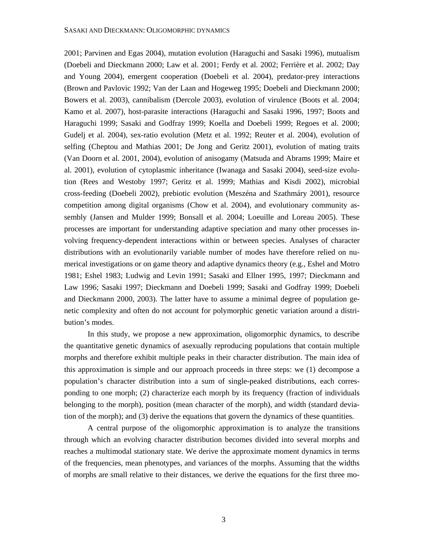2001; Parvinen and Egas 2004), mutation evolution (Haraguchi and Sasaki 1996), mutualism (Doebeli and Dieckmann 2000; Law et al. 2001; Ferdy et al. 2002; Ferrière et al. 2002; Day and Young 2004), emergent cooperation (Doebeli et al. 2004), predator-prey interactions (Brown and Pavlovic 1992; Van der Laan and Hogeweg 1995; Doebeli and Dieckmann 2000; Bowers et al. 2003), cannibalism (Dercole 2003), evolution of virulence (Boots et al. 2004; Kamo et al. 2007), host-parasite interactions (Haraguchi and Sasaki 1996, 1997; Boots and Haraguchi 1999; Sasaki and Godfray 1999; Koella and Doebeli 1999; Regoes et al. 2000; Gudelj et al. 2004), sex-ratio evolution (Metz et al. 1992; Reuter et al. 2004), evolution of selfing (Cheptou and Mathias 2001; De Jong and Geritz 2001), evolution of mating traits (Van Doorn et al. 2001, 2004), evolution of anisogamy (Matsuda and Abrams 1999; Maire et al. 2001), evolution of cytoplasmic inheritance (Iwanaga and Sasaki 2004), seed-size evolution (Rees and Westoby 1997; Geritz et al. 1999; Mathias and Kisdi 2002), microbial cross-feeding (Doebeli 2002), prebiotic evolution (Meszéna and Szathmáry 2001), resource competition among digital organisms (Chow et al. 2004), and evolutionary community assembly (Jansen and Mulder 1999; Bonsall et al. 2004; Loeuille and Loreau 2005). These processes are important for understanding adaptive speciation and many other processes involving frequency-dependent interactions within or between species. Analyses of character distributions with an evolutionarily variable number of modes have therefore relied on numerical investigations or on game theory and adaptive dynamics theory (e.g., Eshel and Motro 1981; Eshel 1983; Ludwig and Levin 1991; Sasaki and Ellner 1995, 1997; Dieckmann and Law 1996; Sasaki 1997; Dieckmann and Doebeli 1999; Sasaki and Godfray 1999; Doebeli and Dieckmann 2000, 2003). The latter have to assume a minimal degree of population genetic complexity and often do not account for polymorphic genetic variation around a distribution's modes.

In this study, we propose a new approximation, oligomorphic dynamics, to describe the quantitative genetic dynamics of asexually reproducing populations that contain multiple morphs and therefore exhibit multiple peaks in their character distribution. The main idea of this approximation is simple and our approach proceeds in three steps: we (1) decompose a population's character distribution into a sum of single-peaked distributions, each corresponding to one morph; (2) characterize each morph by its frequency (fraction of individuals belonging to the morph), position (mean character of the morph), and width (standard deviation of the morph); and (3) derive the equations that govern the dynamics of these quantities.

A central purpose of the oligomorphic approximation is to analyze the transitions through which an evolving character distribution becomes divided into several morphs and reaches a multimodal stationary state. We derive the approximate moment dynamics in terms of the frequencies, mean phenotypes, and variances of the morphs. Assuming that the widths of morphs are small relative to their distances, we derive the equations for the first three mo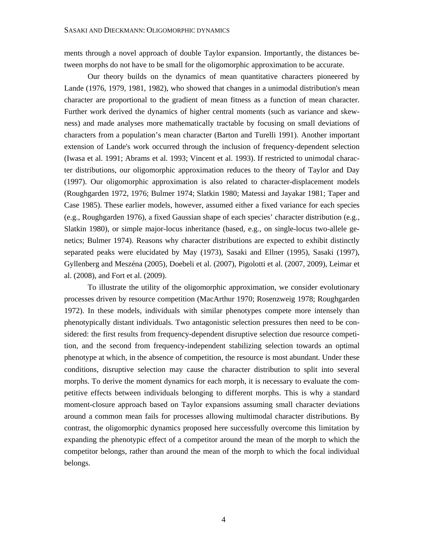ments through a novel approach of double Taylor expansion. Importantly, the distances between morphs do not have to be small for the oligomorphic approximation to be accurate.

Our theory builds on the dynamics of mean quantitative characters pioneered by Lande (1976, 1979, 1981, 1982), who showed that changes in a unimodal distribution's mean character are proportional to the gradient of mean fitness as a function of mean character. Further work derived the dynamics of higher central moments (such as variance and skewness) and made analyses more mathematically tractable by focusing on small deviations of characters from a population's mean character (Barton and Turelli 1991). Another important extension of Lande's work occurred through the inclusion of frequency-dependent selection (Iwasa et al. 1991; Abrams et al. 1993; Vincent et al. 1993). If restricted to unimodal character distributions, our oligomorphic approximation reduces to the theory of Taylor and Day (1997). Our oligomorphic approximation is also related to character-displacement models (Roughgarden 1972, 1976; Bulmer 1974; Slatkin 1980; Matessi and Jayakar 1981; Taper and Case 1985). These earlier models, however, assumed either a fixed variance for each species (e.g., Roughgarden 1976), a fixed Gaussian shape of each species' character distribution (e.g., Slatkin 1980), or simple major-locus inheritance (based, e.g., on single-locus two-allele genetics; Bulmer 1974). Reasons why character distributions are expected to exhibit distinctly separated peaks were elucidated by May (1973), Sasaki and Ellner (1995), Sasaki (1997), Gyllenberg and Meszéna (2005), Doebeli et al. (2007), Pigolotti et al. (2007, 2009), Leimar et al. (2008), and Fort et al. (2009).

To illustrate the utility of the oligomorphic approximation, we consider evolutionary processes driven by resource competition (MacArthur 1970; Rosenzweig 1978; Roughgarden 1972). In these models, individuals with similar phenotypes compete more intensely than phenotypically distant individuals. Two antagonistic selection pressures then need to be considered: the first results from frequency-dependent disruptive selection due resource competition, and the second from frequency-independent stabilizing selection towards an optimal phenotype at which, in the absence of competition, the resource is most abundant. Under these conditions, disruptive selection may cause the character distribution to split into several morphs. To derive the moment dynamics for each morph, it is necessary to evaluate the competitive effects between individuals belonging to different morphs. This is why a standard moment-closure approach based on Taylor expansions assuming small character deviations around a common mean fails for processes allowing multimodal character distributions. By contrast, the oligomorphic dynamics proposed here successfully overcome this limitation by expanding the phenotypic effect of a competitor around the mean of the morph to which the competitor belongs, rather than around the mean of the morph to which the focal individual belongs.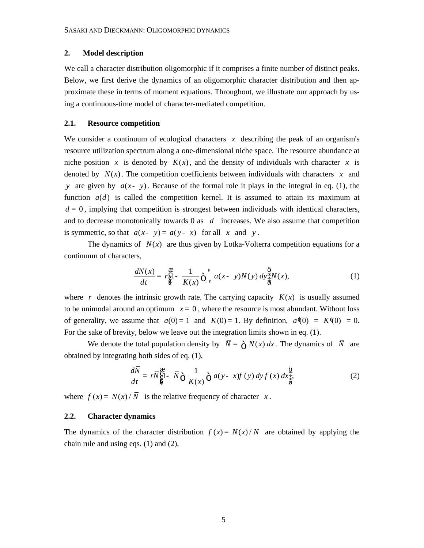#### **2. Model description**

We call a character distribution oligomorphic if it comprises a finite number of distinct peaks. Below, we first derive the dynamics of an oligomorphic character distribution and then approximate these in terms of moment equations. Throughout, we illustrate our approach by using a continuous-time model of character-mediated competition.

#### **2.1. Resource competition**

We consider a continuum of ecological characters  $x$  describing the peak of an organism's resource utilization spectrum along a one-dimensional niche space. The resource abundance at niche position x is denoted by  $K(x)$ , and the density of individuals with character x is denoted by  $N(x)$ . The competition coefficients between individuals with characters x and *y* are given by  $a(x - y)$ . Because of the formal role it plays in the integral in eq. (1), the function  $a(d)$  is called the competition kernel. It is assumed to attain its maximum at  $d = 0$ , implying that competition is strongest between individuals with identical characters, and to decrease monotonically towards 0 as  $|d|$  increases. We also assume that competition is symmetric, so that  $a(x - y) = a(y - x)$  for all x and y.

The dynamics of  $N(x)$  are thus given by Lotka-Volterra competition equations for a continuum of characters,

$$
\frac{dN(x)}{dt} = r^{\mathfrak{B}}_{\mathfrak{E}} - \frac{1}{K(x)} \mathfrak{d}_{\mathfrak{X}}^{\mathfrak{X}} a(x - y) N(y) dy_{\frac{1}{\mathfrak{B}}}^{\frac{\mathfrak{G}}{\mathfrak{X}}} x(x), \tag{1}
$$

where *r* denotes the intrinsic growth rate. The carrying capacity  $K(x)$  is usually assumed to be unimodal around an optimum  $x = 0$ , where the resource is most abundant. Without loss of generality, we assume that  $a(0) = 1$  and  $K(0) = 1$ . By definition,  $a(0) = K(0) = 0$ . For the sake of brevity, below we leave out the integration limits shown in eq. (1).

We denote the total population density by  $\overline{N} = \partial N(x) dx$ . The dynamics of  $\overline{N}$  are obtained by integrating both sides of eq. (1),

$$
\frac{d\overline{N}}{dt} = r\overline{N}^{\mathfrak{B}}_{\mathbf{\widehat{g}}} \cdot \overline{N} \mathfrak{d} \frac{1}{K(x)} \mathfrak{d} \frac{a(y - x)f(y) dy f(x) dx^{\frac{\mathfrak{G}}{\mathfrak{X}}}_{\frac{\mathfrak{F}}{\mathfrak{G}}} \tag{2}
$$

where  $f(x) = N(x)/\overline{N}$  is the relative frequency of character *x*.

# **2.2. Character dynamics**

The dynamics of the character distribution  $f(x) = N(x)/\overline{N}$  are obtained by applying the chain rule and using eqs. (1) and (2),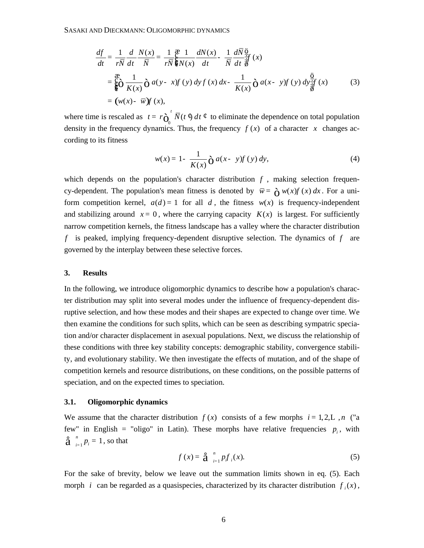$$
\frac{df}{dt} = \frac{1}{r\overline{N}} \frac{d}{dt} \frac{N(x)}{\overline{N}} = \frac{1}{r\overline{N}} \frac{\mathfrak{F}}{\mathfrak{F}} \frac{1}{N(x)} \frac{dN(x)}{dt} - \frac{1}{\overline{N}} \frac{d\overline{N}}{dt} \frac{\mathfrak{F}}{\overline{p}}(x)
$$
\n
$$
= \frac{\mathfrak{F}}{\mathfrak{F}} \mathfrak{F} \frac{1}{K(x)} \mathfrak{F} \frac{1}{K(x)} \mathfrak{F} \frac{1}{K(x)} \mathfrak{F} \frac{1}{K(x)} \mathfrak{F} \frac{1}{K(x)} \mathfrak{F} \frac{1}{K(x)} \mathfrak{F} \frac{1}{K(x)} \mathfrak{F} \frac{1}{K(x)} \mathfrak{F} \frac{1}{K(x)} \mathfrak{F} \frac{1}{K(x)} \mathfrak{F} \frac{1}{K(x)} \mathfrak{F} \frac{1}{K(x)} \mathfrak{F} \frac{1}{K(x)} \mathfrak{F} \frac{1}{K(x)} \mathfrak{F} \frac{1}{K(x)} \mathfrak{F} \frac{1}{K(x)} \mathfrak{F} \frac{1}{K(x)} \mathfrak{F} \frac{1}{K(x)} \mathfrak{F} \frac{1}{K(x)} \mathfrak{F} \frac{1}{K(x)} \mathfrak{F} \frac{1}{K(x)} \mathfrak{F} \frac{1}{K(x)} \mathfrak{F} \frac{1}{K(x)} \mathfrak{F} \frac{1}{K(x)} \mathfrak{F} \frac{1}{K(x)} \mathfrak{F} \frac{1}{K(x)} \mathfrak{F} \frac{1}{K(x)} \mathfrak{F} \frac{1}{K(x)} \mathfrak{F} \frac{1}{K(x)} \mathfrak{F} \frac{1}{K(x)} \mathfrak{F} \frac{1}{K(x)} \mathfrak{F} \frac{1}{K(x)} \mathfrak{F} \frac{1}{K(x)} \mathfrak{F} \frac{1}{K(x)} \mathfrak{F} \frac{1}{K(x)} \mathfrak{F} \frac{1}{K(x)} \mathfrak{F} \frac{1}{K(x)} \mathfrak{F} \frac{1}{K(x)} \mathfrak{F} \frac{1}{K(x)} \mathfrak{F} \frac{1}{K(x)} \mathfrak{
$$

where time is rescaled as  $t = r \frac{\partial}{\partial x} \bar{N}(t \otimes dt \notin \Phi)$  to eliminate the dependence on total population density in the frequency dynamics. Thus, the frequency  $f(x)$  of a character x changes according to its fitness

$$
w(x) = 1 - \frac{1}{K(x)} \partial a(x - y)f(y) dy,
$$
 (4)

which depends on the population's character distribution  $f$ , making selection frequency-dependent. The population's mean fitness is denoted by  $\overline{w} = \partial w(x)f(x) dx$ . For a uniform competition kernel,  $a(d) = 1$  for all *d*, the fitness  $w(x)$  is frequency-independent and stabilizing around  $x = 0$ , where the carrying capacity  $K(x)$  is largest. For sufficiently narrow competition kernels, the fitness landscape has a valley where the character distribution *f* is peaked, implying frequency-dependent disruptive selection. The dynamics of *f* are governed by the interplay between these selective forces.

#### **3. Results**

In the following, we introduce oligomorphic dynamics to describe how a population's character distribution may split into several modes under the influence of frequency-dependent disruptive selection, and how these modes and their shapes are expected to change over time. We then examine the conditions for such splits, which can be seen as describing sympatric speciation and/or character displacement in asexual populations. Next, we discuss the relationship of these conditions with three key stability concepts: demographic stability, convergence stability, and evolutionary stability. We then investigate the effects of mutation, and of the shape of competition kernels and resource distributions, on these conditions, on the possible patterns of speciation, and on the expected times to speciation.

#### **3.1. Oligomorphic dynamics**

We assume that the character distribution  $f(x)$  consists of a few morphs  $i = 1, 2, L$ , n ("a few" in English = "oligo" in Latin). These morphs have relative frequencies  $p_i$ , with  $\sum_{i=1}^{n} p_i = 1$ , so that

$$
f(x) = \mathbf{a} \int_{i=1}^{n} p f_i(x).
$$
 (5)

For the sake of brevity, below we leave out the summation limits shown in eq. (5). Each morph *i* can be regarded as a quasispecies, characterized by its character distribution  $f_i(x)$ ,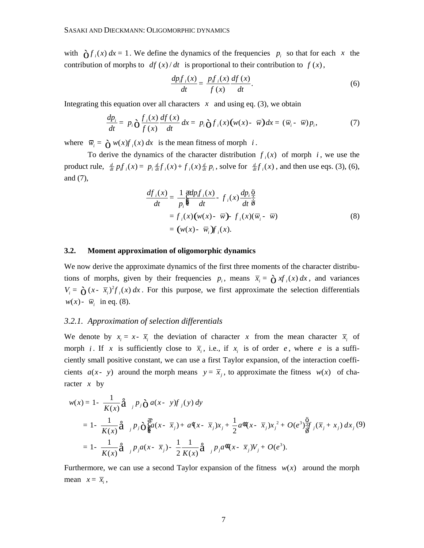with  $\partial f_i(x) dx = 1$ . We define the dynamics of the frequencies  $p_i$  so that for each x the contribution of morphs to  $df(x)/dt$  is proportional to their contribution to  $f(x)$ ,

$$
\frac{dpf_i(x)}{dt} = \frac{pf_i(x)}{f(x)} \frac{df(x)}{dt}.
$$
\n(6)

Integrating this equation over all characters  $x$  and using eq. (3), we obtain

$$
\frac{dp_i}{dt} = p_i \delta \frac{f_i(x)}{f(x)} \frac{df(x)}{dt} dx = p_i \delta f_i(x) (w(x) - \overline{w}) dx = (\overline{w}_i - \overline{w}) p_i,
$$
\n(7)

where  $\overline{w}_i = \partial w(x) f_i(x) dx$  is the mean fitness of morph *i*.

To derive the dynamics of the character distribution  $f_i(x)$  of morph *i*, we use the product rule,  $\frac{d}{dt} p f_i(x) = p_i \frac{d}{dt} f_i(x) + f_i(x) \frac{d}{dt} p_i$ , solve for  $\frac{d}{dt} f_i(x)$ , and then use eqs. (3), (6), and (7),

$$
\frac{df_i(x)}{dt} = \frac{1}{p_i} \mathbf{g} \frac{d^2p f_i(x)}{dt} - f_i(x) \frac{dp_i \frac{\ddot{\mathbf{o}}}{dt}}{dt \dot{\mathbf{\phi}}}
$$
\n
$$
= f_i(x) (w(x) - \overline{w}) - f_i(x) (\overline{w}_i - \overline{w})
$$
\n
$$
= (w(x) - \overline{w}_i) f_i(x).
$$
\n(8)

#### **3.2. Moment approximation of oligomorphic dynamics**

We now derive the approximate dynamics of the first three moments of the character distributions of morphs, given by their frequencies  $p_i$ , means  $\bar{x}_i = \partial x f_i(x) dx$ , and variances  $V_i = \partial (x - \overline{x}_i)^2 f_i(x) dx$ . For this purpose, we first approximate the selection differentials  $w(x)$ -  $\overline{w}$ , in eq. (8).

#### *3.2.1. Approximation of selection differentials*

We denote by  $x_i = x - \overline{x_i}$  the deviation of character *x* from the mean character  $\overline{x_i}$  of morph *i*. If *x* is sufficiently close to  $\bar{x}_i$ , i.e., if  $x_i$  is of order *e*, where *e* is a sufficiently small positive constant, we can use a first Taylor expansion, of the interaction coefficients  $a(x - y)$  around the morph means  $y = \overline{x}_i$ , to approximate the fitness  $w(x)$  of character *x* by

$$
w(x) = 1 - \frac{1}{K(x)} \hat{a}_{j} p_{j} \hat{\mathbf{o}} a(x - y) f_{j}(y) dy
$$
  
=  $1 - \frac{1}{K(x)} \hat{a}_{j} p_{j} \hat{\mathbf{o}} \hat{g}_{j}(x - \overline{x}_{j}) + a(x - \overline{x}_{j})x_{j} + \frac{1}{2} a(x - \overline{x}_{j})x_{j}^{2} + O(e^{3}) \frac{\partial}{\partial x} f_{j}(\overline{x}_{j} + x_{j}) dx_{j}(9)$   
=  $1 - \frac{1}{K(x)} \hat{a}_{j} p_{j} a(x - \overline{x}_{j}) - \frac{1}{2} \frac{1}{K(x)} \hat{a}_{j} p_{j} a(x - \overline{x}_{j}) V_{j} + O(e^{3}).$ 

Furthermore, we can use a second Taylor expansion of the fitness  $w(x)$  around the morph mean  $x = \overline{x_i}$ ,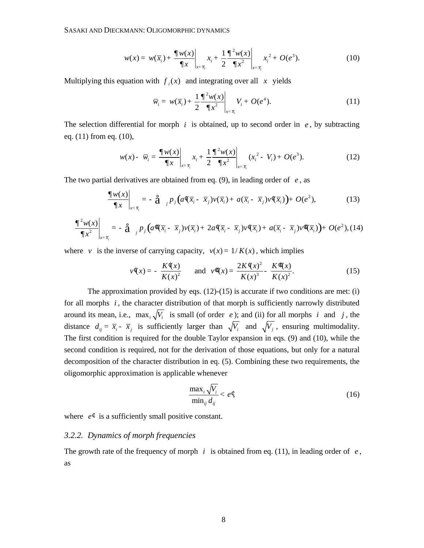$$
w(x) = w(\overline{x}_i) + \frac{\P{w(x)}}{\P{x}} \bigg|_{x = \overline{x}_i} x_i + \frac{1}{2} \frac{\P^2{w(x)}}{\P{x^2}} \bigg|_{x = \overline{x}_i} x_i^2 + O(e^3).
$$
 (10)

Multiplying this equation with  $f_i(x)$  and integrating over all x yields

$$
\overline{w}_i = w(\overline{x}_i) + \frac{1}{2} \frac{\P^2 w(x)}{\P x^2} \bigg|_{x = \overline{x}_i} V_i + O(e^4).
$$
 (11)

The selection differential for morph  $i$  is obtained, up to second order in  $e$ , by subtracting eq. (11) from eq. (10),

$$
w(x) - \overline{w}_i = \frac{\P w(x)}{\P x} \bigg|_{x = \overline{x}_i} x_i + \frac{1}{2} \frac{\P^2 w(x)}{\P x^2} \bigg|_{x = \overline{x}_i} (x_i^2 - V_i) + O(e^3).
$$
 (12)

The two partial derivatives are obtained from eq. (9), in leading order of *e* , as

$$
\frac{\P{w(x)}}{\P{x}}\bigg|_{x=\overline{x}_i} = -\stackrel{\circ}{\mathbf{a}} \quad {}_j p_j \big(a \notin \overline{x}_i - \overline{x}_j)v(\overline{x}_i) + a(\overline{x}_i - \overline{x}_j)v(\overline{x}_i)\big) + O(e^2), \tag{13}
$$

$$
\frac{\P^2 w(x)}{\P x^2}\bigg|_{x=\overline{x}_i} = -\frac{8}{12} \int_{-i}^{\infty} p_j \big(a \mathcal{K}\overline{x}_i - \overline{x}_j \big) v(\overline{x}_i) + 2a \mathcal{K}\overline{x}_i - \overline{x}_j \big) v \mathcal{K}\overline{x}_i + a(\overline{x}_i - \overline{x}_j) v \mathcal{K}\overline{x}_i \big) + O(e^2),
$$
 (14)

where *v* is the inverse of carrying capacity,  $v(x) = 1/K(x)$ , which implies

$$
v(x) = -\frac{K(x)}{K(x)^2} \quad \text{and} \quad v(x) = \frac{2K(x)^2}{K(x)^3} - \frac{K(x)}{K(x)^2}.
$$
 (15)

The approximation provided by eqs.  $(12)-(15)$  is accurate if two conditions are met:  $(i)$ for all morphs  $i$ , the character distribution of that morph is sufficiently narrowly distributed around its mean, i.e., max<sub>i</sub>  $\sqrt{V_i}$  is small (of order *e*); and (ii) for all morphs *i* and *j*, the distance  $d_{ii} = \overline{x}_i - \overline{x}_j$  is sufficiently larger than  $\sqrt{V_i}$  and  $\sqrt{V_i}$ , ensuring multimodality. The first condition is required for the double Taylor expansion in eqs. (9) and (10), while the second condition is required, not for the derivation of those equations, but only for a natural decomposition of the character distribution in eq. (5). Combining these two requirements, the oligomorphic approximation is applicable whenever

$$
\frac{\max_{i} \sqrt{V_i}}{\min_{ij} d_{ij}} < e \notin \tag{16}
$$

where  $e^{\phi}$  is a sufficiently small positive constant.

#### *3.2.2. Dynamics of morph frequencies*

The growth rate of the frequency of morph *i* is obtained from eq. (11), in leading order of *e* , as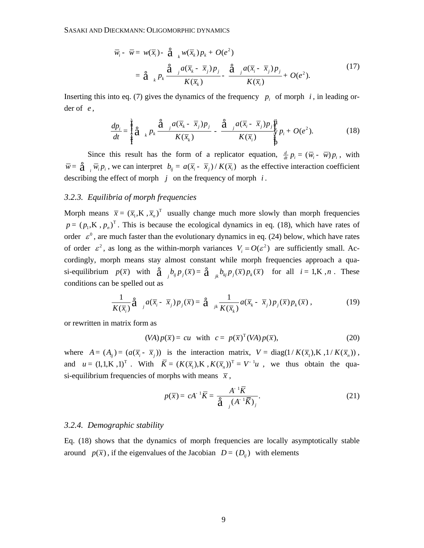$$
\overline{w}_i - \overline{w} = w(\overline{x}_i) - \frac{8}{4} \sqrt{k(\overline{x}_k)p_k} + O(e^2)
$$
  
= 
$$
\frac{8}{4} \sqrt{k} \frac{a(\overline{x}_k - \overline{x}_j)p_j}{K(\overline{x}_k)} - \frac{\frac{8}{4} \sqrt{a(\overline{x}_i - \overline{x}_j)p_j}}{K(\overline{x}_i)} + O(e^2).
$$
 (17)

Inserting this into eq. (7) gives the dynamics of the frequency  $p_i$  of morph *i*, in leading order of *e* ,

$$
\frac{dp_i}{dt} = \begin{cases} \frac{2}{3} & \text{if } \frac{2}{3} \left( \frac{1}{N} \left( \frac{1}{N} - \overline{X}_j \right) p_j - \frac{2}{3} \left( \frac{1}{N} \left( \frac{1}{N} - \overline{X}_j \right) p_j \right) \right) \\ K(\overline{X}_k) & K(\overline{X}_k) \end{cases} \tag{18}
$$

Since this result has the form of a replicator equation,  $\frac{d}{dt} p_i = (\overline{w}_i - \overline{w}) p_i$ , with  $\overline{w} = \hat{\mathbf{a}}$ ,  $\overline{w}_i p_i$ , we can interpret  $b_{ij} = a(\overline{x}_i - \overline{x}_j) / K(\overline{x}_i)$  as the effective interaction coefficient describing the effect of morph  $j$  on the frequency of morph  $i$ .

#### *3.2.3. Equilibria of morph frequencies*

Morph means  $\bar{x} = (\bar{x}_1, K, \bar{x}_n)^T$  usually change much more slowly than morph frequencies  $p = (p_1, K, p_n)^T$ . This is because the ecological dynamics in eq. (18), which have rates of order  $\varepsilon^0$ , are much faster than the evolutionary dynamics in eq. (24) below, which have rates of order  $\varepsilon^2$ , as long as the within-morph variances  $V_i = O(\varepsilon^2)$  are sufficiently small. Accordingly, morph means stay almost constant while morph frequencies approach a quasi-equilibrium  $p(\bar{x})$  with  $\hat{a}$   $i = h_{ij} p_j(\bar{x}) = \hat{a}$   $i = h_{kj} p_j(\bar{x}) p_k(\bar{x})$  for all  $i = 1, K, n$ . These conditions can be spelled out as

$$
\frac{1}{K(\overline{x}_i)}\hat{\mathbf{a}}_{j} a(\overline{x}_i - \overline{x}_j) p_j(\overline{x}) = \hat{\mathbf{a}}_{jk} \frac{1}{K(\overline{x}_k)} a(\overline{x}_k - \overline{x}_j) p_j(\overline{x}) p_k(\overline{x}), \qquad (19)
$$

or rewritten in matrix form as

$$
(V A) p(\overline{x}) = cu \quad \text{with} \quad c = p(\overline{x})^{\text{T}} (V A) p(\overline{x}), \tag{20}
$$

where  $A = (A_{ii}) = (a(\overline{x}_i - \overline{x}_i))$  is the interaction matrix,  $V = \text{diag}(1/K(\overline{x}_i), K, 1/K(\overline{x}_n))$ , and  $u = (1,1, K, 1)^T$ . With  $\overline{K} = (K(\overline{x}_1), K, K(\overline{x}_n))^T = V^{-1}u$ , we thus obtain the quasi-equilibrium frequencies of morphs with means  $\bar{x}$ ,

$$
p(\overline{x}) = cA^{-1}\overline{K} = \frac{A^{-1}\overline{K}}{\frac{8}{4} \cdot \left(A^{-1}\overline{K}\right)}.
$$
 (21)

#### *3.2.4. Demographic stability*

Eq. (18) shows that the dynamics of morph frequencies are locally asymptotically stable around  $p(\bar{x})$ , if the eigenvalues of the Jacobian  $D = (D_{ii})$  with elements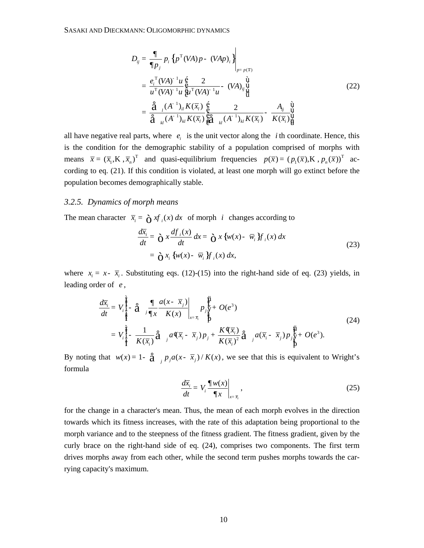$$
D_{ij} = \frac{\P}{\P p_j} p_i \left\{ p^{\text{T}} (V A) p - (V A p)_i \right\}_{p = p(\bar{x})}
$$
  
=  $\frac{e_i^{\text{T}} (V A)^{-1} u}{u^{\text{T}} (V A)^{-1} u} \frac{\hat{g}}{\hat{g} u^{\text{T}} (V A)^{-1} u} - (V A)_{ij} \frac{\hat{u}}{\hat{u}}$   
=  $\frac{\hat{a}}{\hat{a}}_{i} (A^{-1})_{ii} K(\bar{x}_i) \frac{\hat{g}}{\hat{g} \hat{a}} \frac{2}{u(A^{-1})_{ii} K(\bar{x}_i)} - \frac{A_{ij}}{K(\bar{x}_i)} \frac{\hat{u}}{\hat{u}}$  (22)

all have negative real parts, where  $e_i$  is the unit vector along the *i* th coordinate. Hence, this is the condition for the demographic stability of a population comprised of morphs with means  $\bar{x} = (\bar{x}_1, K, \bar{x}_n)^T$  and quasi-equilibrium frequencies  $p(\bar{x}) = (p_1(\bar{x}), K, p_n(\bar{x}))^T$  according to eq. (21). If this condition is violated, at least one morph will go extinct before the population becomes demographically stable.

#### *3.2.5. Dynamics of morph means*

The mean character  $\bar{x}_i = \partial_x f_i(x) dx$  of morph *i* changes according to

$$
\frac{d\overline{x}_i}{dt} = \mathbf{\hat{O}} x \frac{df_i(x)}{dt} dx = \mathbf{\hat{O}} x \{w(x) - \overline{w}_i \} f_i(x) dx
$$
\n
$$
= \mathbf{\hat{O}} x_i \{w(x) - \overline{w}_i \} f_i(x) dx,
$$
\n(23)

where  $x_i = x - \overline{x}_i$ . Substituting eqs. (12)-(15) into the right-hand side of eq. (23) yields, in leading order of *e* ,

$$
\frac{d\overline{x}_{i}}{dt} = V_{i} \frac{\overrightarrow{\mathbf{i}}}{\overrightarrow{\mathbf{i}}} - \frac{\partial}{\partial} \left| \int_{\mathbf{r}} \frac{q(x - \overline{x}_{j})}{K(x)} \right|_{x = \overline{x}_{i}} p_{j} \frac{\overrightarrow{\mathbf{i}}}{\overrightarrow{\mathbf{j}}} + O(e^{3})
$$
\n
$$
= V_{i} \frac{\overrightarrow{\mathbf{i}}}{\mathbf{i}} - \frac{1}{K(\overline{x}_{i})} \frac{\partial}{\partial} \left| \int_{\mathbf{r}} q(\overline{x}_{i} - \overline{x}_{j}) p_{j} + \frac{K(\overline{x}_{i})}{K(\overline{x}_{i})^{2}} \frac{\partial}{\partial} \left| \int_{\mathbf{r}} q(\overline{x}_{i} - \overline{x}_{j}) p_{j} \frac{\overrightarrow{\mathbf{i}}}{\overrightarrow{\mathbf{j}}} + O(e^{3}).
$$
\n(24)

By noting that  $w(x) = 1 - \frac{8}{10}$ ,  $p_j a(x - \overline{x}_j) / K(x)$ , we see that this is equivalent to Wright's formula

$$
\frac{d\overline{x}_i}{dt} = V_i \frac{\P w(x)}{\P x}\Big|_{x = \overline{x}_i},\tag{25}
$$

for the change in a character's mean. Thus, the mean of each morph evolves in the direction towards which its fitness increases, with the rate of this adaptation being proportional to the morph variance and to the steepness of the fitness gradient. The fitness gradient, given by the curly brace on the right-hand side of eq. (24), comprises two components. The first term drives morphs away from each other, while the second term pushes morphs towards the carrying capacity's maximum.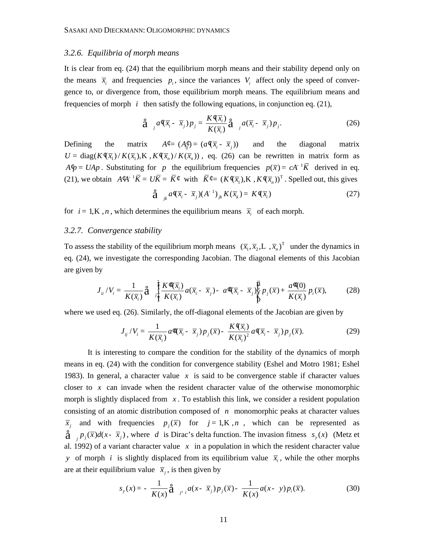#### *3.2.6. Equilibria of morph means*

It is clear from eq. (24) that the equilibrium morph means and their stability depend only on the means  $\bar{x}_i$  and frequencies  $p_i$ , since the variances  $V_i$  affect only the speed of convergence to, or divergence from, those equilibrium morph means. The equilibrium means and frequencies of morph *i* then satisfy the following equations, in conjunction eq. (21),

$$
\hat{\mathbf{a}}_{j} a \hat{\mathbf{x}}_{i} - \overline{\mathbf{x}}_{j} p_{j} = \frac{K \hat{\mathbf{x}}_{i}}{K(\overline{\mathbf{x}}_{i})} \hat{\mathbf{a}}_{j} a (\overline{\mathbf{x}}_{i} - \overline{\mathbf{x}}_{j}) p_{j}.
$$
 (26)

Defining the matrix  $A \not\subset (A \not\subset) = (a \not\subset \overline{x}_i - \overline{x}_i)$  and the diagonal matrix  $U = \text{diag}(K(\overline{X})/K(\overline{X}), K, K(\overline{X})/K(\overline{X}))$ , eq. (26) can be rewritten in matrix form as  $A\phi = UAp$ . Substituting for *p* the equilibrium frequencies  $p(\bar{x}) = cA^{-1}\bar{K}$  derived in eq. (21), we obtain  $A \mathcal{A}^{-1} \overline{K} = U \overline{K} = \overline{K} \mathcal{L}$  with  $\overline{K} \mathcal{L} = (K \mathcal{K} \overline{X}_1), K, K \mathcal{K} \overline{X}_n)^T$ . Spelled out, this gives

$$
\hat{\mathbf{a}}_{j_k} a \mathbf{\mathbf{a}} \overline{x}_i - \overline{x}_j (A^{-1})_{jk} K(\overline{x}_k) = K \mathbf{\mathbf{a}} \overline{x}_i)
$$
 (27)

for  $i = 1, K, n$ , which determines the equilibrium means  $\bar{x}_i$  of each morph.

#### *3.2.7. Convergence stability*

To assess the stability of the equilibrium morph means  $(\bar{x}_1, \bar{x}_2, L, \bar{x}_n)^T$  under the dynamics in eq. (24), we investigate the corresponding Jacobian. The diagonal elements of this Jacobian are given by

$$
J_{ii}/V_i = \frac{1}{K(\overline{x}_i)}\hat{\mathbf{a}} \quad \prod_{j=1}^{\overline{\mathbf{i}}} \frac{K\mathfrak{A}(\overline{x}_i)}{K(\overline{x}_i)} a(\overline{x}_i - \overline{x}_j) - a\mathfrak{A}(\overline{x}_i - \overline{x}_j) \hspace{-.1cm}\nabla_{\hspace{-1.1cm}\mathbf{b}} \hspace{-.1cm}\nabla_{\hspace{-1.1cm}\mathbf{b}} p_j(\overline{x}) + \frac{a\mathfrak{A}(0)}{K(\overline{x}_i)} p_i(\overline{x}), \hspace{1cm} (28)
$$

where we used eq. (26). Similarly, the off-diagonal elements of the Jacobian are given by

$$
J_{ij}/V_i = \frac{1}{K(\overline{x}_i)} a \mathcal{K}(\overline{x}_i - \overline{x}_j) p_j(\overline{x}) - \frac{K \mathcal{K}(\overline{x}_i)}{K(\overline{x}_i)^2} a \mathcal{K}(\overline{x}_i - \overline{x}_j) p_j(\overline{x}).
$$
 (29)

It is interesting to compare the condition for the stability of the dynamics of morph means in eq. (24) with the condition for convergence stability (Eshel and Motro 1981; Eshel 1983). In general, a character value  $x$  is said to be convergence stable if character values closer to *x* can invade when the resident character value of the otherwise monomorphic morph is slightly displaced from *x* . To establish this link, we consider a resident population consisting of an atomic distribution composed of *n* monomorphic peaks at character values  $\bar{x}_i$  and with frequencies  $p_i(\bar{x})$  for  $j = 1, K, n$ , which can be represented as  $\hat{\mathbf{a}}$  *i*  $p_j(\bar{x})d(x-\bar{x}_j)$ , where *d* is Dirac's delta function. The invasion fitness  $s_y(x)$  (Metz et al. 1992) of a variant character value  $x$  in a population in which the resident character value *y* of morph *i* is slightly displaced from its equilibrium value  $\bar{x}$ , while the other morphs are at their equilibrium value  $\bar{x}_i$ , is then given by

$$
s_{y}(x) = -\frac{1}{K(x)}\hat{\mathbf{a}}_{j+i}a(x-\overline{x}_{j})p_{j}(\overline{x}) - \frac{1}{K(x)}a(x-y)p_{i}(\overline{x}).
$$
 (30)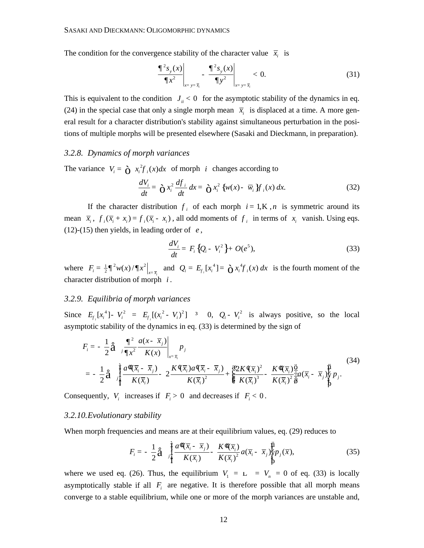The condition for the convergence stability of the character value  $\bar{x}_i$  is

$$
\frac{\P^2 s_y(x)}{\P x^2} \bigg|_{x = y = \overline{x}_i} - \frac{\P^2 s_y(x)}{\P y^2} \bigg|_{x = y = \overline{x}_i} < 0. \tag{31}
$$

This is equivalent to the condition  $J_{ii}$  < 0 for the asymptotic stability of the dynamics in eq. (24) in the special case that only a single morph mean  $\bar{x}$  is displaced at a time. A more general result for a character distribution's stability against simultaneous perturbation in the positions of multiple morphs will be presented elsewhere (Sasaki and Dieckmann, in preparation).

#### *3.2.8. Dynamics of morph variances*

The variance  $V_i = \partial_i x_i^2 f_i(x) dx$  of morph *i* changes according to

$$
\frac{dV_i}{dt} = \mathbf{\hat{O}} x_i^2 \frac{df_i}{dt} dx = \mathbf{\hat{O}} x_i^2 \left\{ w(x) - \overline{w}_i \right\} f_i(x) dx.
$$
 (32)

If the character distribution  $f_i$  of each morph  $i = 1, K, n$  is symmetric around its mean  $\bar{x}_i$ ,  $f_i(\bar{x}_i + x_i) = f_i(\bar{x}_i - x_i)$ , all odd moments of  $f_i$  in terms of  $x_i$  vanish. Using eqs.  $(12)-(15)$  then yields, in leading order of *e*,

$$
\frac{dV_i}{dt} = F_i \{ Q_i - V_i^2 \} + O(e^5),\tag{33}
$$

where  $F_i = \frac{1}{2} \P^2 w(x) / \P x^2 \Big|_{x = \bar{x}_i}$  and  $Q_i = E_{f_i} [x_i^4] = \partial x_i^4 f_i(x) dx$  is the fourth moment of the character distribution of morph *i* .

#### *3.2.9. Equilibria of morph variances*

Since  $E_{f_i}[x_i^4] - V_i^2 = E_{f_i}[(x_i^2 - V_i)^2]$  <sup>3</sup> 0,  $Q_i - V_i^2$  is always positive, so the local asymptotic stability of the dynamics in eq. (33) is determined by the sign of

$$
F_i = -\frac{1}{2}\mathring{a} \int_{\frac{\pi}{2}}^{\frac{\pi}{2}} \frac{a(x - \overline{x}_j)}{K(x)} \bigg|_{x = \overline{x}_i} p_j
$$
  
\n
$$
= -\frac{1}{2}\mathring{a} \int_{\frac{\pi}{2}}^{\frac{\pi}{2}} \frac{a\Re(\overline{x}_i - \overline{x}_j)}{K(\overline{x}_i)} - 2\frac{K\Re(\overline{x}_i)a\Re(\overline{x}_i - \overline{x}_j)}{K(\overline{x}_i)^2} + \frac{\Re ZK\Re(\overline{x}_i)^2}{\Re K(\overline{x}_i)^3} - \frac{K\Re(\overline{x}_i)\frac{\ddot{a}}{2}}{K(\overline{x}_i)^2}\frac{\ddot{a}}{\dot{a}}(\overline{x}_i - \overline{x}_j)\frac{\ddot{a}}{\dot{b}} p_j.
$$
\n(34)

Consequently, *V<sub>i</sub>* increases if  $F_i > 0$  and decreases if  $F_i < 0$ .

#### *3.2.10.Evolutionary stability*

When morph frequencies and means are at their equilibrium values, eq. (29) reduces to

$$
F_i = -\frac{1}{2}\overset{\circ}{\mathbf{a}} \quad \int_{\frac{1}{2}}^{\frac{1}{2}} \frac{a \mathfrak{A}(\overline{x}_i - \overline{x}_j)}{K(\overline{x}_i)} - \frac{K \mathfrak{A}(\overline{x}_i)}{K(\overline{x}_i)^2} a(\overline{x}_i - \overline{x}_j) \frac{\ddot{\mathfrak{p}}}{\mathfrak{p}} p_j(\overline{x}), \tag{35}
$$

where we used eq. (26). Thus, the equilibrium  $V_1 = L = V_n = 0$  of eq. (33) is locally asymptotically stable if all  $F_i$  are negative. It is therefore possible that all morph means converge to a stable equilibrium, while one or more of the morph variances are unstable and,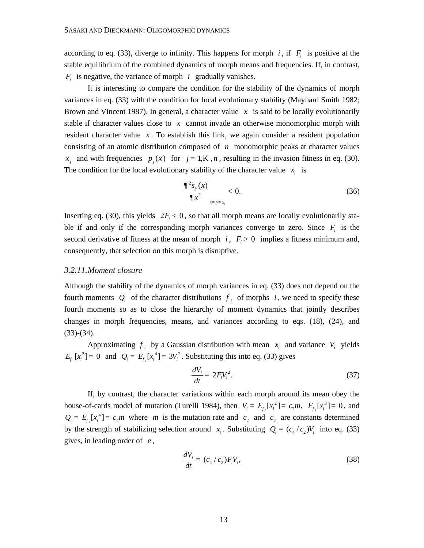according to eq. (33), diverge to infinity. This happens for morph  $i$ , if  $F_i$  is positive at the stable equilibrium of the combined dynamics of morph means and frequencies. If, in contrast,  $F_i$  is negative, the variance of morph *i* gradually vanishes.

It is interesting to compare the condition for the stability of the dynamics of morph variances in eq. (33) with the condition for local evolutionary stability (Maynard Smith 1982; Brown and Vincent 1987). In general, a character value *x* is said to be locally evolutionarily stable if character values close to *x* cannot invade an otherwise monomorphic morph with resident character value *x* . To establish this link, we again consider a resident population consisting of an atomic distribution composed of *n* monomorphic peaks at character values  $\bar{x}_i$  and with frequencies  $p_i(\bar{x})$  for  $j = 1, K, n$ , resulting in the invasion fitness in eq. (30). The condition for the local evolutionary stability of the character value  $\bar{x}_i$  is

$$
\frac{\P^2 s_y(x)}{\P x^2} \bigg|_{x = y = \bar{x}_i} < 0. \tag{36}
$$

Inserting eq. (30), this yields  $2F_i < 0$ , so that all morph means are locally evolutionarily stable if and only if the corresponding morph variances converge to zero. Since  $F_i$  is the second derivative of fitness at the mean of morph *i*,  $F_i > 0$  implies a fitness minimum and, consequently, that selection on this morph is disruptive.

#### *3.2.11.Moment closure*

Although the stability of the dynamics of morph variances in eq. (33) does not depend on the fourth moments  $Q_i$  of the character distributions  $f_i$  of morphs *i*, we need to specify these fourth moments so as to close the hierarchy of moment dynamics that jointly describes changes in morph frequencies, means, and variances according to eqs. (18), (24), and (33)-(34).

Approximating  $f_i$  by a Gaussian distribution with mean  $\bar{x}_i$  and variance  $V_i$  yields  $E_{f_i}[x_i^3] = 0$  and  $Q_i = E_{f_i}[x_i^4] = 3V_i^2$ . Substituting this into eq. (33) gives

$$
\frac{dV_i}{dt} = 2F_i V_i^2. \tag{37}
$$

If, by contrast, the character variations within each morph around its mean obey the house-of-cards model of mutation (Turelli 1984), then  $V_i = E_f$ [ $x_i^2$ ] =  $c_2m$ ,  $E_f$ [ $x_i^3$ ] = 0, and  $Q_i = E_{f_i}[x_i^4] = c_4m$  where *m* is the mutation rate and  $c_2$  and  $c_2$  are constants determined by the strength of stabilizing selection around  $\bar{x}_i$ . Substituting  $Q_i = (c_4/c_2)V_i$  into eq. (33) gives, in leading order of *e* ,

$$
\frac{dV_i}{dt} = (c_4/c_2)F_iV_i,
$$
\n(38)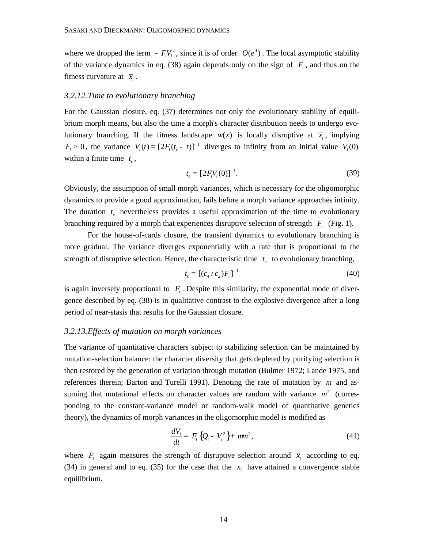where we dropped the term -  $F_iV_i^2$ , since it is of order  $O(e^4)$ . The local asymptotic stability of the variance dynamics in eq. (38) again depends only on the sign of  $F_i$ , and thus on the fitness curvature at  $\bar{x}_i$ .

#### *3.2.12.Time to evolutionary branching*

For the Gaussian closure, eq. (37) determines not only the evolutionary stability of equilibrium morph means, but also the time a morph's character distribution needs to undergo evolutionary branching. If the fitness landscape  $w(x)$  is locally disruptive at  $\bar{x}$ , implying  $F_i > 0$ , the variance  $V_i(t) = [2F_i(t_c - t)]^{-1}$  diverges to infinity from an initial value  $V_i(0)$ within a finite time  $t_c$ ,

$$
t_{\rm c} = [2F_i V_i(0)]^{-1}.
$$
 (39)

Obviously, the assumption of small morph variances, which is necessary for the oligomorphic dynamics to provide a good approximation, fails before a morph variance approaches infinity. The duration  $t_c$  nevertheless provides a useful approximation of the time to evolutionary branching required by a morph that experiences disruptive selection of strength  $F_i$  (Fig. 1).

For the house-of-cards closure, the transient dynamics to evolutionary branching is more gradual. The variance diverges exponentially with a rate that is proportional to the strength of disruptive selection. Hence, the characteristic time  $t_c$  to evolutionary branching,

$$
t_{\rm c} = [(c_4/c_2)F_i]^{-1} \tag{40}
$$

is again inversely proportional to  $F_i$ . Despite this similarity, the exponential mode of divergence described by eq. (38) is in qualitative contrast to the explosive divergence after a long period of near-stasis that results for the Gaussian closure.

#### *3.2.13.Effects of mutation on morph variances*

The variance of quantitative characters subject to stabilizing selection can be maintained by mutation-selection balance: the character diversity that gets depleted by purifying selection is then restored by the generation of variation through mutation (Bulmer 1972; Lande 1975, and references therein; Barton and Turelli 1991). Denoting the rate of mutation by *m* and assuming that mutational effects on character values are random with variance  $m^2$  (corresponding to the constant-variance model or random-walk model of quantitative genetics theory), the dynamics of morph variances in the oligomorphic model is modified as

$$
\frac{dV_i}{dt} = F_i \left\{ Q_i - V_i^2 \right\} + m m^2, \tag{41}
$$

where  $F_i$  again measures the strength of disruptive selection around  $\bar{x}_i$  according to eq. (34) in general and to eq. (35) for the case that the  $\bar{x}_i$  have attained a convergence stable equilibrium.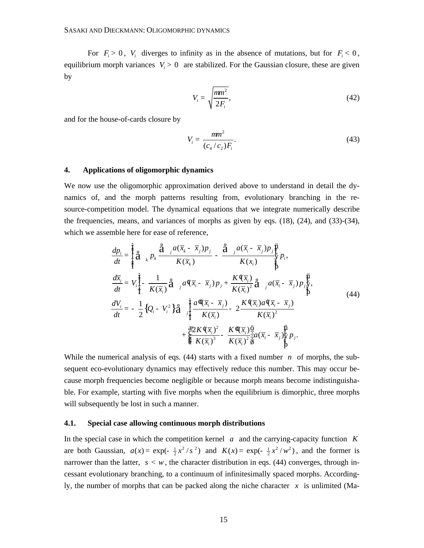For  $F_i > 0$ ,  $V_i$  diverges to infinity as in the absence of mutations, but for  $F_i < 0$ , equilibrium morph variances  $V_i > 0$  are stabilized. For the Gaussian closure, these are given by

$$
V_i = \sqrt{\frac{mm^2}{2F_i}},\tag{42}
$$

and for the house-of-cards closure by

$$
V_i = \frac{mm^2}{(c_4/c_2)F_i}.
$$
\n(43)

#### **4. Applications of oligomorphic dynamics**

We now use the oligomorphic approximation derived above to understand in detail the dynamics of, and the morph patterns resulting from, evolutionary branching in the resource-competition model. The dynamical equations that we integrate numerically describe the frequencies, means, and variances of morphs as given by eqs.  $(18)$ ,  $(24)$ , and  $(33)-(34)$ , which we assemble here for ease of reference,

$$
\frac{dp_i}{dt} = \begin{cases}\n\frac{2}{3} & \text{if } p_k \frac{\partial}{\partial x_j} \frac{d(\overline{x}_k - \overline{x}_j)p_j}{d(\overline{x}_k)} - \frac{\partial}{\partial x_j} \frac{d(\overline{x}_i - \overline{x}_j)p_j}{d(\overline{x}_k)} \frac{\partial}{\partial p_i}, \\
\frac{d\overline{x}_i}{dt} = V_i \frac{\partial}{\partial x_j} - \frac{1}{K(\overline{x}_i)} \frac{\partial}{\partial x_j} \frac{d(\overline{x}_i - \overline{x}_j)p_j}{d(\overline{x}_i - \overline{x}_j)} \frac{\partial}{\partial y_j} \frac{\partial}{\partial p_i}, \\
\frac{dV_i}{dt} = -\frac{1}{2} \left\{ Q_i - V_i^2 \right\} \frac{\partial}{\partial x_j} \int_{\frac{1}{2}}^{\frac{1}{2}} \frac{d(\overline{x}_i - \overline{x}_j)}{d(\overline{x}_i - \overline{x}_j)} - 2 \frac{K(\overline{x}_i) \frac{d(\overline{x}_i - \overline{x}_j)}{d(\overline{x}_i)^2}}{K(\overline{x}_i)^2} \\
+ \frac{\frac{2K}{3} K(\overline{x}_i)^2}{K(\overline{x}_i)^3} - \frac{K(\overline{x}_i) \frac{\partial}{\partial y_j}}{K(\overline{x}_i)^2} \frac{\partial}{\partial p_i} \frac{\partial}{\partial p_i}. \n\end{cases} \tag{44}
$$

While the numerical analysis of eqs.  $(44)$  starts with a fixed number *n* of morphs, the subsequent eco-evolutionary dynamics may effectively reduce this number. This may occur because morph frequencies become negligible or because morph means become indistinguishable. For example, starting with five morphs when the equilibrium is dimorphic, three morphs will subsequently be lost in such a manner.

#### **4.1. Special case allowing continuous morph distributions**

In the special case in which the competition kernel *a* and the carrying-capacity function *K* are both Gaussian,  $a(x) = \exp(-\frac{1}{2}x^2/s^2)$  and  $K(x) = \exp(-\frac{1}{2}x^2/w^2)$ , and the former is narrower than the latter,  $s < w$ , the character distribution in eqs. (44) converges, through incessant evolutionary branching, to a continuum of infinitesimally spaced morphs. Accordingly, the number of morphs that can be packed along the niche character *x* is unlimited (Ma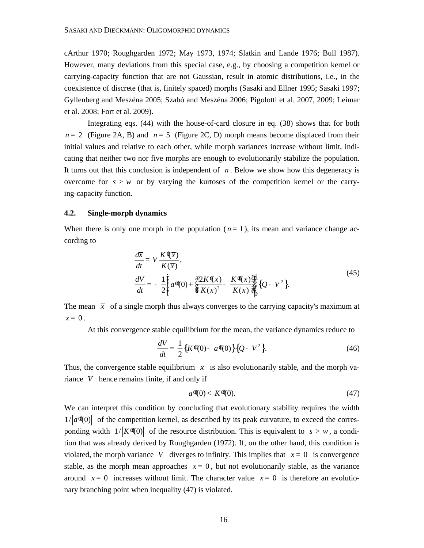cArthur 1970; Roughgarden 1972; May 1973, 1974; Slatkin and Lande 1976; Bull 1987). However, many deviations from this special case, e.g., by choosing a competition kernel or carrying-capacity function that are not Gaussian, result in atomic distributions, i.e., in the coexistence of discrete (that is, finitely spaced) morphs (Sasaki and Ellner 1995; Sasaki 1997; Gyllenberg and Meszéna 2005; Szabó and Meszéna 2006; Pigolotti et al. 2007, 2009; Leimar et al. 2008; Fort et al. 2009).

Integrating eqs. (44) with the house-of-card closure in eq. (38) shows that for both  $n = 2$  (Figure 2A, B) and  $n = 5$  (Figure 2C, D) morph means become displaced from their initial values and relative to each other, while morph variances increase without limit, indicating that neither two nor five morphs are enough to evolutionarily stabilize the population. It turns out that this conclusion is independent of *n* . Below we show how this degeneracy is overcome for  $s > w$  or by varying the kurtoses of the competition kernel or the carrying-capacity function.

#### **4.2. Single-morph dynamics**

When there is only one morph in the population  $(n = 1)$ , its mean and variance change according to

$$
\frac{d\overline{x}}{dt} = V \frac{K \mathcal{A}(\overline{x})}{K(\overline{x})},
$$
\n
$$
\frac{dV}{dt} = -\frac{1}{2} \frac{1}{4} a \mathcal{A}(0) + \frac{\mathcal{B}^2 K \mathcal{A}(\overline{x})}{\mathcal{B}^2 K(\overline{x})^2} - \frac{K \mathcal{A}(\overline{x}) \frac{d\mathcal{B}}{\mathcal{B}}}{K(\overline{x}) \frac{d\mathcal{B}}{\mathcal{B}}} \{Q - V^2 \}.
$$
\n(45)

The mean  $\bar{x}$  of a single morph thus always converges to the carrying capacity's maximum at  $x=0$ .

At this convergence stable equilibrium for the mean, the variance dynamics reduce to

$$
\frac{dV}{dt} = \frac{1}{2} \{ K \# (0) - a \# (0) \} \{ Q - V^2 \}.
$$
 (46)

Thus, the convergence stable equilibrium  $\bar{x}$  is also evolutionarily stable, and the morph variance *V* hence remains finite, if and only if

$$
a\mathfrak{A}(0) < K\mathfrak{A}(0). \tag{47}
$$

We can interpret this condition by concluding that evolutionary stability requires the width  $1/|a\lll00|$  of the competition kernel, as described by its peak curvature, to exceed the corresponding width  $1/|K\phi(0)|$  of the resource distribution. This is equivalent to  $s > w$ , a condition that was already derived by Roughgarden (1972). If, on the other hand, this condition is violated, the morph variance *V* diverges to infinity. This implies that  $x = 0$  is convergence stable, as the morph mean approaches  $x = 0$ , but not evolutionarily stable, as the variance around  $x = 0$  increases without limit. The character value  $x = 0$  is therefore an evolutionary branching point when inequality (47) is violated.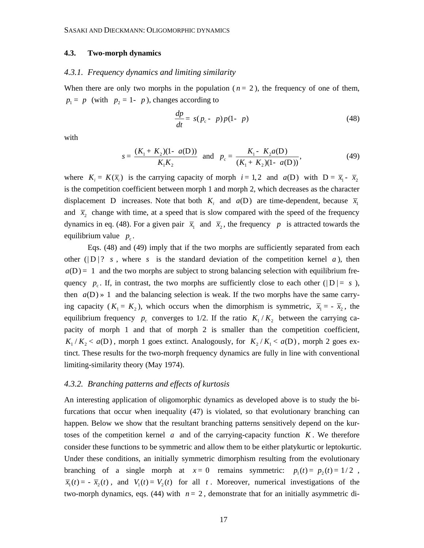#### **4.3. Two-morph dynamics**

#### *4.3.1. Frequency dynamics and limiting similarity*

When there are only two morphs in the population  $(n = 2)$ , the frequency of one of them,  $p_1 = p$  (with  $p_2 = 1 - p$ ), changes according to

$$
\frac{dp}{dt} = s(p_c - p)p(1 - p) \tag{48}
$$

with

$$
s = \frac{(K_1 + K_2)(1 - a(D))}{K_1 K_2} \text{ and } p_c = \frac{K_1 - K_2 a(D)}{(K_1 + K_2)(1 - a(D))},
$$
(49)

where  $K_i = K(\overline{x}_i)$  is the carrying capacity of morph  $i = 1,2$  and  $a(D)$  with  $D = \overline{x}_1 - \overline{x}_2$ is the competition coefficient between morph 1 and morph 2, which decreases as the character displacement D increases. Note that both  $K_i$  and  $a(D)$  are time-dependent, because  $\overline{x}_1$ and  $\bar{x}_2$  change with time, at a speed that is slow compared with the speed of the frequency dynamics in eq. (48). For a given pair  $\bar{x}_1$  and  $\bar{x}_2$ , the frequency *p* is attracted towards the equilibrium value  $p_c$ .

Eqs. (48) and (49) imply that if the two morphs are sufficiently separated from each other ( $|D|$ ? *s*, where *s* is the standard deviation of the competition kernel *a*), then  $a(D) = 1$  and the two morphs are subject to strong balancing selection with equilibrium frequency  $p_c$ . If, in contrast, the two morphs are sufficiently close to each other ( $|D| = s$ ), then  $a(D) \times 1$  and the balancing selection is weak. If the two morphs have the same carrying capacity ( $K_1 = K_2$ ), which occurs when the dimorphism is symmetric,  $\bar{x}_1 = -\bar{x}_2$ , the equilibrium frequency  $p_c$  converges to 1/2. If the ratio  $K_1/K_2$  between the carrying capacity of morph 1 and that of morph 2 is smaller than the competition coefficient,  $K_1/K_2 < a(D)$ , morph 1 goes extinct. Analogously, for  $K_2/K_1 < a(D)$ , morph 2 goes extinct. These results for the two-morph frequency dynamics are fully in line with conventional limiting-similarity theory (May 1974).

#### *4.3.2. Branching patterns and effects of kurtosis*

An interesting application of oligomorphic dynamics as developed above is to study the bifurcations that occur when inequality (47) is violated, so that evolutionary branching can happen. Below we show that the resultant branching patterns sensitively depend on the kurtoses of the competition kernel *a* and of the carrying-capacity function *K* . We therefore consider these functions to be symmetric and allow them to be either platykurtic or leptokurtic. Under these conditions, an initially symmetric dimorphism resulting from the evolutionary branching of a single morph at  $x = 0$  remains symmetric:  $p_1(t) = p_2(t) = 1/2$ ,  $\overline{x}_1(t) = -\overline{x}_2(t)$ , and  $V_1(t) = V_2(t)$  for all *t*. Moreover, numerical investigations of the two-morph dynamics, eqs. (44) with  $n = 2$ , demonstrate that for an initially asymmetric di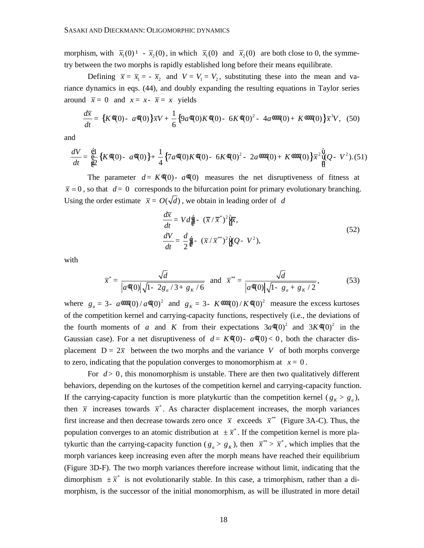morphism, with  $\bar{x}_1(0)^1 - \bar{x}_2(0)$ , in which  $\bar{x}_1(0)$  and  $\bar{x}_2(0)$  are both close to 0, the symmetry between the two morphs is rapidly established long before their means equilibrate.

Defining  $\bar{x} = \bar{x}_1 = -\bar{x}_2$  and  $V = V_1 = V_2$ , substituting these into the mean and variance dynamics in eqs. (44), and doubly expanding the resulting equations in Taylor series around  $\bar{x} = 0$  and  $x = x - \bar{x} = x$  yields

$$
\frac{d\overline{x}}{dt} = \{K\mathfrak{A}(0) - a\mathfrak{A}(0)\}\overline{x}V + \frac{1}{6}\{9a\mathfrak{A}(0)K\mathfrak{A}(0) - 6K\mathfrak{A}(0)^2 - 4a\mathfrak{A}\mathfrak{A}(0) + K\mathfrak{A}\mathfrak{A}(0)\}\overline{x}^3V, (50)
$$

and

$$
\frac{dV}{dt} = \frac{\hat{\mathbf{e}}}{\hat{\mathbf{e}}^2} \left\{ K \mathbf{\emptyset}(0) - a \mathbf{\emptyset}(0) \right\} + \frac{1}{4} \left\{ 7 a \mathbf{\emptyset}(0) K \mathbf{\emptyset}(0) - 6 K \mathbf{\emptyset}(0)^2 - 2 a \mathbf{\emptyset} \mathbf{\emptyset}(0) + K \mathbf{\emptyset} \mathbf{\emptyset}(0) \right\} \overline{x}^2 \mathbf{\emptyset}(Q - V^2). (51)
$$

The parameter  $d = K \phi(0) - a \phi(0)$  measures the net disruptiveness of fitness at  $\bar{x}$  = 0, so that *d* = 0 corresponds to the bifurcation point for primary evolutionary branching. Using the order estimate  $\bar{x} = O(\sqrt{d})$ , we obtain in leading order of d

$$
\frac{d\overline{x}}{dt} = V d\hat{\mathbf{g}} - (\overline{x}/\overline{x}^*)^2 \hat{\mathbf{g}} \overline{x},
$$
  
\n
$$
\frac{dV}{dt} = \frac{d}{2} \hat{\mathbf{g}} - (\overline{x}/\overline{x}^*)^2 \hat{\mathbf{g}} (Q - V^2),
$$
\n(52)

with

$$
\overline{x}^* = \frac{\sqrt{d}}{|a\Re(0)|\sqrt{1 - 2g_a/3 + g_K/6}} \text{ and } \overline{x}^{**} = \frac{\sqrt{d}}{|a\Re(0)|\sqrt{1 - g_a + g_K/2}},
$$
(53)

where  $g_a = 3$ -  $a \cancel{\#}(\theta) / a \cancel{\#}(\theta)^2$  and  $g_k = 3$ -  $K \cancel{\#}(\theta) / K \cancel{\#}(\theta)^2$  measure the excess kurtoses of the competition kernel and carrying-capacity functions, respectively (i.e., the deviations of the fourth moments of *a* and *K* from their expectations  $3a\phi(0)^2$  and  $3K\phi(0)^2$  in the Gaussian case). For a net disruptiveness of  $d = K \mathcal{R}(0) - a \mathcal{R}(0) < 0$ , both the character displacement  $D = 2\bar{x}$  between the two morphs and the variance *V* of both morphs converge to zero, indicating that the population converges to monomorphism at  $x = 0$ .

For *d*> 0 , this monomorphism is unstable. There are then two qualitatively different behaviors, depending on the kurtoses of the competition kernel and carrying-capacity function. If the carrying-capacity function is more platykurtic than the competition kernel ( $g_K > g_a$ ), then  $\bar{x}$  increases towards  $\bar{x}$ <sup>\*</sup>. As character displacement increases, the morph variances first increase and then decrease towards zero once  $\bar{x}$  exceeds  $\bar{x}^*$  (Figure 3A-C). Thus, the population converges to an atomic distribution at  $\pm \overline{x}^*$ . If the competition kernel is more platykurtic than the carrying-capacity function ( $g_a > g_k$ ), then  $\bar{x}^* > \bar{x}^*$ , which implies that the morph variances keep increasing even after the morph means have reached their equilibrium (Figure 3D-F). The two morph variances therefore increase without limit, indicating that the dimorphism  $\pm \overline{x}^*$  is not evolutionarily stable. In this case, a trimorphism, rather than a dimorphism, is the successor of the initial monomorphism, as will be illustrated in more detail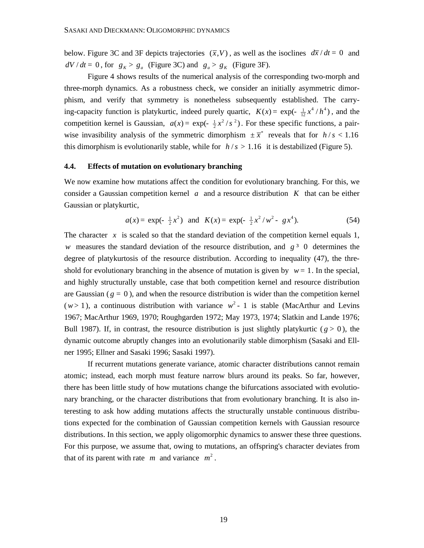below. Figure 3C and 3F depicts trajectories  $(\bar{x}, V)$ , as well as the isoclines  $d\bar{x}/dt = 0$  and  $dV/dt = 0$ , for  $g_K > g_a$  (Figure 3C) and  $g_a > g_K$  (Figure 3F).

Figure 4 shows results of the numerical analysis of the corresponding two-morph and three-morph dynamics. As a robustness check, we consider an initially asymmetric dimorphism, and verify that symmetry is nonetheless subsequently established. The carrying-capacity function is platykurtic, indeed purely quartic,  $K(x) = \exp(-\frac{1}{12}x^4/h^4)$ , and the competition kernel is Gaussian,  $a(x) = \exp(-\frac{1}{2}x^2/s^2)$ . For these specific functions, a pairwise invasibility analysis of the symmetric dimorphism  $\pm \overline{x}^*$  reveals that for  $h/s < 1.16$ this dimorphism is evolutionarily stable, while for  $h/s > 1.16$  it is destabilized (Figure 5).

#### **4.4. Effects of mutation on evolutionary branching**

We now examine how mutations affect the condition for evolutionary branching. For this, we consider a Gaussian competition kernel *a* and a resource distribution *K* that can be either Gaussian or platykurtic,

$$
a(x) = \exp(-\frac{1}{2}x^2) \text{ and } K(x) = \exp(-\frac{1}{2}x^2/w^2 - gx^4). \tag{54}
$$

The character *x* is scaled so that the standard deviation of the competition kernel equals 1, *w* measures the standard deviation of the resource distribution, and  $g^3$  0 determines the degree of platykurtosis of the resource distribution. According to inequality (47), the threshold for evolutionary branching in the absence of mutation is given by  $w = 1$ . In the special, and highly structurally unstable, case that both competition kernel and resource distribution are Gaussian ( $g = 0$ ), and when the resource distribution is wider than the competition kernel  $(w>1)$ , a continuous distribution with variance  $w^2$ - 1 is stable (MacArthur and Levins 1967; MacArthur 1969, 1970; Roughgarden 1972; May 1973, 1974; Slatkin and Lande 1976; Bull 1987). If, in contrast, the resource distribution is just slightly platykurtic ( $g > 0$ ), the dynamic outcome abruptly changes into an evolutionarily stable dimorphism (Sasaki and Ellner 1995; Ellner and Sasaki 1996; Sasaki 1997).

If recurrent mutations generate variance, atomic character distributions cannot remain atomic; instead, each morph must feature narrow blurs around its peaks. So far, however, there has been little study of how mutations change the bifurcations associated with evolutionary branching, or the character distributions that from evolutionary branching. It is also interesting to ask how adding mutations affects the structurally unstable continuous distributions expected for the combination of Gaussian competition kernels with Gaussian resource distributions. In this section, we apply oligomorphic dynamics to answer these three questions. For this purpose, we assume that, owing to mutations, an offspring's character deviates from that of its parent with rate  $m$  and variance  $m^2$ .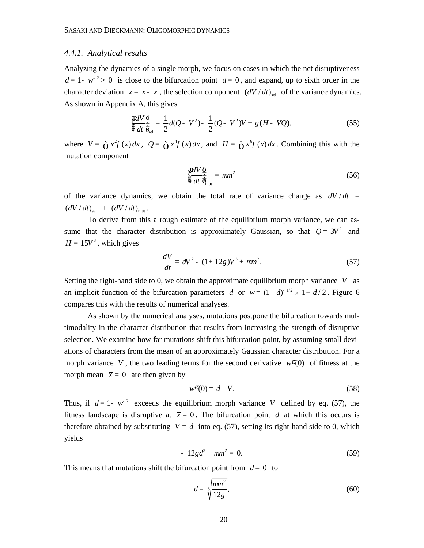#### *4.4.1. Analytical results*

Analyzing the dynamics of a single morph, we focus on cases in which the net disruptiveness  $d=1$ -  $w^2>0$  is close to the bifurcation point  $d=0$ , and expand, up to sixth order in the character deviation  $x = x - \overline{x}$ , the selection component  $(dV/dt)_{\text{sel}}$  of the variance dynamics. As shown in Appendix A, this gives

$$
\frac{\mathcal{R}}{\mathcal{E}} \frac{dV}{dt} \frac{\ddot{\mathcal{G}}}{\dot{\mathcal{G}}_{\text{sel}}} = \frac{1}{2} d(Q - V^2) - \frac{1}{2} (Q - V^2) V + g (H - VQ), \tag{55}
$$

where  $V = \partial x^2 f(x) dx$ ,  $Q = \partial x^4 f(x) dx$ , and  $H = \partial x^6 f(x) dx$ . Combining this with the mutation component

$$
\frac{\mathfrak{F}dV}{\mathfrak{F}dt} = mm^2 \tag{56}
$$

of the variance dynamics, we obtain the total rate of variance change as  $dV/dt =$  $(dV/dt)_{\text{sel}} + (dV/dt)_{\text{mut}}$ .

To derive from this a rough estimate of the equilibrium morph variance, we can assume that the character distribution is approximately Gaussian, so that  $Q = 3V^2$  and  $H = 15V<sup>3</sup>$ , which gives

$$
\frac{dV}{dt} = dV^2 - (1 + 12g)V^3 + mm^2.
$$
 (57)

Setting the right-hand side to 0, we obtain the approximate equilibrium morph variance *V* as an implicit function of the bifurcation parameters *d* or  $w = (1 - d)^{-1/2} \times 1 + d/2$ . Figure 6 compares this with the results of numerical analyses.

As shown by the numerical analyses, mutations postpone the bifurcation towards multimodality in the character distribution that results from increasing the strength of disruptive selection. We examine how far mutations shift this bifurcation point, by assuming small deviations of characters from the mean of an approximately Gaussian character distribution. For a morph variance V, the two leading terms for the second derivative  $w\phi(0)$  of fitness at the morph mean  $\bar{x} = 0$  are then given by

$$
w\mathfrak{A}(0) = d - V. \tag{58}
$$

Thus, if  $d = 1 - w^2$  exceeds the equilibrium morph variance *V* defined by eq. (57), the fitness landscape is disruptive at  $\bar{x} = 0$ . The bifurcation point *d* at which this occurs is therefore obtained by substituting  $V = d$  into eq. (57), setting its right-hand side to 0, which yields

$$
-12gd^3 + mm^2 = 0. \tag{59}
$$

This means that mutations shift the bifurcation point from  $d = 0$  to

$$
d = \sqrt[3]{\frac{mm^2}{12g}},\tag{60}
$$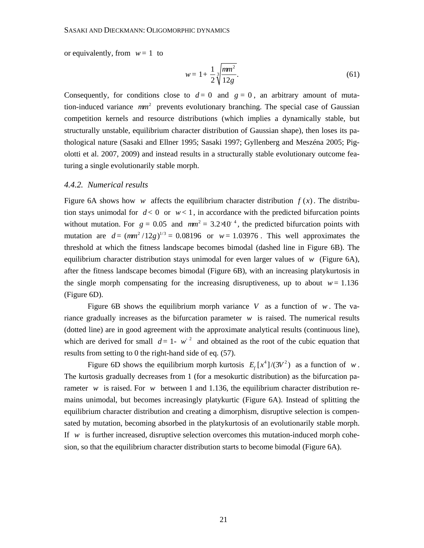or equivalently, from  $w = 1$  to

$$
w = 1 + \frac{1}{2} \sqrt[3]{\frac{mm^2}{12g}}.
$$
\n(61)

Consequently, for conditions close to  $d=0$  and  $g=0$ , an arbitrary amount of mutation-induced variance  $mm^2$  prevents evolutionary branching. The special case of Gaussian competition kernels and resource distributions (which implies a dynamically stable, but structurally unstable, equilibrium character distribution of Gaussian shape), then loses its pathological nature (Sasaki and Ellner 1995; Sasaki 1997; Gyllenberg and Meszéna 2005; Pigolotti et al. 2007, 2009) and instead results in a structurally stable evolutionary outcome featuring a single evolutionarily stable morph.

#### *4.4.2. Numerical results*

Figure 6A shows how *w* affects the equilibrium character distribution  $f(x)$ . The distribution stays unimodal for  $d < 0$  or  $w < 1$ , in accordance with the predicted bifurcation points without mutation. For  $g = 0.05$  and  $mm^2 = 3.2 \times 10^{-4}$ , the predicted bifurcation points with mutation are  $d = (mm^2/12g)^{1/3} = 0.08196$  or  $w = 1.03976$ . This well approximates the threshold at which the fitness landscape becomes bimodal (dashed line in Figure 6B). The equilibrium character distribution stays unimodal for even larger values of  $w$  (Figure 6A), after the fitness landscape becomes bimodal (Figure 6B), with an increasing platykurtosis in the single morph compensating for the increasing disruptiveness, up to about  $w = 1.136$ (Figure 6D).

Figure 6B shows the equilibrium morph variance  $V$  as a function of  $w$ . The variance gradually increases as the bifurcation parameter  $w$  is raised. The numerical results (dotted line) are in good agreement with the approximate analytical results (continuous line), which are derived for small  $d = 1 - w^2$  and obtained as the root of the cubic equation that results from setting to 0 the right-hand side of eq. (57).

Figure 6D shows the equilibrium morph kurtosis  $E<sub>f</sub> [x<sup>4</sup>]/(3V<sup>2</sup>)$  as a function of *w*. The kurtosis gradually decreases from 1 (for a mesokurtic distribution) as the bifurcation parameter *w* is raised. For *w* between 1 and 1.136, the equilibrium character distribution remains unimodal, but becomes increasingly platykurtic (Figure 6A). Instead of splitting the equilibrium character distribution and creating a dimorphism, disruptive selection is compensated by mutation, becoming absorbed in the platykurtosis of an evolutionarily stable morph. If *w* is further increased, disruptive selection overcomes this mutation-induced morph cohesion, so that the equilibrium character distribution starts to become bimodal (Figure 6A).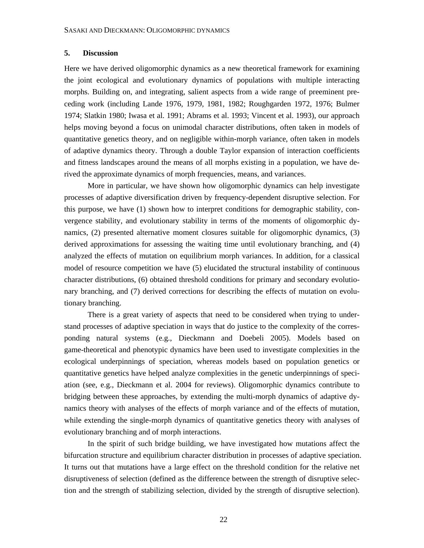#### **5. Discussion**

Here we have derived oligomorphic dynamics as a new theoretical framework for examining the joint ecological and evolutionary dynamics of populations with multiple interacting morphs. Building on, and integrating, salient aspects from a wide range of preeminent preceding work (including Lande 1976, 1979, 1981, 1982; Roughgarden 1972, 1976; Bulmer 1974; Slatkin 1980; Iwasa et al. 1991; Abrams et al. 1993; Vincent et al. 1993), our approach helps moving beyond a focus on unimodal character distributions, often taken in models of quantitative genetics theory, and on negligible within-morph variance, often taken in models of adaptive dynamics theory. Through a double Taylor expansion of interaction coefficients and fitness landscapes around the means of all morphs existing in a population, we have derived the approximate dynamics of morph frequencies, means, and variances.

More in particular, we have shown how oligomorphic dynamics can help investigate processes of adaptive diversification driven by frequency-dependent disruptive selection. For this purpose, we have (1) shown how to interpret conditions for demographic stability, convergence stability, and evolutionary stability in terms of the moments of oligomorphic dynamics, (2) presented alternative moment closures suitable for oligomorphic dynamics, (3) derived approximations for assessing the waiting time until evolutionary branching, and (4) analyzed the effects of mutation on equilibrium morph variances. In addition, for a classical model of resource competition we have (5) elucidated the structural instability of continuous character distributions, (6) obtained threshold conditions for primary and secondary evolutionary branching, and (7) derived corrections for describing the effects of mutation on evolutionary branching.

There is a great variety of aspects that need to be considered when trying to understand processes of adaptive speciation in ways that do justice to the complexity of the corresponding natural systems (e.g., Dieckmann and Doebeli 2005). Models based on game-theoretical and phenotypic dynamics have been used to investigate complexities in the ecological underpinnings of speciation, whereas models based on population genetics or quantitative genetics have helped analyze complexities in the genetic underpinnings of speciation (see, e.g., Dieckmann et al. 2004 for reviews). Oligomorphic dynamics contribute to bridging between these approaches, by extending the multi-morph dynamics of adaptive dynamics theory with analyses of the effects of morph variance and of the effects of mutation, while extending the single-morph dynamics of quantitative genetics theory with analyses of evolutionary branching and of morph interactions.

In the spirit of such bridge building, we have investigated how mutations affect the bifurcation structure and equilibrium character distribution in processes of adaptive speciation. It turns out that mutations have a large effect on the threshold condition for the relative net disruptiveness of selection (defined as the difference between the strength of disruptive selection and the strength of stabilizing selection, divided by the strength of disruptive selection).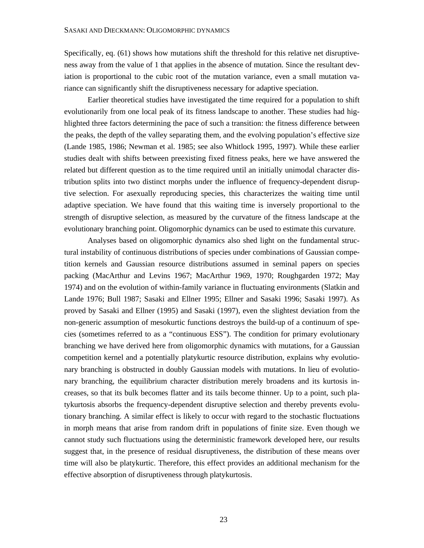Specifically, eq. (61) shows how mutations shift the threshold for this relative net disruptiveness away from the value of 1 that applies in the absence of mutation. Since the resultant deviation is proportional to the cubic root of the mutation variance, even a small mutation variance can significantly shift the disruptiveness necessary for adaptive speciation.

Earlier theoretical studies have investigated the time required for a population to shift evolutionarily from one local peak of its fitness landscape to another. These studies had highlighted three factors determining the pace of such a transition: the fitness difference between the peaks, the depth of the valley separating them, and the evolving population's effective size (Lande 1985, 1986; Newman et al. 1985; see also Whitlock 1995, 1997). While these earlier studies dealt with shifts between preexisting fixed fitness peaks, here we have answered the related but different question as to the time required until an initially unimodal character distribution splits into two distinct morphs under the influence of frequency-dependent disruptive selection. For asexually reproducing species, this characterizes the waiting time until adaptive speciation. We have found that this waiting time is inversely proportional to the strength of disruptive selection, as measured by the curvature of the fitness landscape at the evolutionary branching point. Oligomorphic dynamics can be used to estimate this curvature.

Analyses based on oligomorphic dynamics also shed light on the fundamental structural instability of continuous distributions of species under combinations of Gaussian competition kernels and Gaussian resource distributions assumed in seminal papers on species packing (MacArthur and Levins 1967; MacArthur 1969, 1970; Roughgarden 1972; May 1974) and on the evolution of within-family variance in fluctuating environments (Slatkin and Lande 1976; Bull 1987; Sasaki and Ellner 1995; Ellner and Sasaki 1996; Sasaki 1997). As proved by Sasaki and Ellner (1995) and Sasaki (1997), even the slightest deviation from the non-generic assumption of mesokurtic functions destroys the build-up of a continuum of species (sometimes referred to as a "continuous ESS"). The condition for primary evolutionary branching we have derived here from oligomorphic dynamics with mutations, for a Gaussian competition kernel and a potentially platykurtic resource distribution, explains why evolutionary branching is obstructed in doubly Gaussian models with mutations. In lieu of evolutionary branching, the equilibrium character distribution merely broadens and its kurtosis increases, so that its bulk becomes flatter and its tails become thinner. Up to a point, such platykurtosis absorbs the frequency-dependent disruptive selection and thereby prevents evolutionary branching. A similar effect is likely to occur with regard to the stochastic fluctuations in morph means that arise from random drift in populations of finite size. Even though we cannot study such fluctuations using the deterministic framework developed here, our results suggest that, in the presence of residual disruptiveness, the distribution of these means over time will also be platykurtic. Therefore, this effect provides an additional mechanism for the effective absorption of disruptiveness through platykurtosis.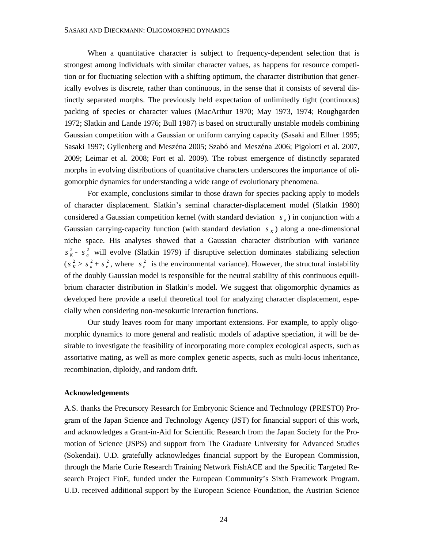When a quantitative character is subject to frequency-dependent selection that is strongest among individuals with similar character values, as happens for resource competition or for fluctuating selection with a shifting optimum, the character distribution that generically evolves is discrete, rather than continuous, in the sense that it consists of several distinctly separated morphs. The previously held expectation of unlimitedly tight (continuous) packing of species or character values (MacArthur 1970; May 1973, 1974; Roughgarden 1972; Slatkin and Lande 1976; Bull 1987) is based on structurally unstable models combining Gaussian competition with a Gaussian or uniform carrying capacity (Sasaki and Ellner 1995; Sasaki 1997; Gyllenberg and Meszéna 2005; Szabó and Meszéna 2006; Pigolotti et al. 2007, 2009; Leimar et al. 2008; Fort et al. 2009). The robust emergence of distinctly separated morphs in evolving distributions of quantitative characters underscores the importance of oligomorphic dynamics for understanding a wide range of evolutionary phenomena.

For example, conclusions similar to those drawn for species packing apply to models of character displacement. Slatkin's seminal character-displacement model (Slatkin 1980) considered a Gaussian competition kernel (with standard deviation *<sup>a</sup> s* ) in conjunction with a Gaussian carrying-capacity function (with standard deviation  $s<sub>K</sub>$ ) along a one-dimensional niche space. His analyses showed that a Gaussian character distribution with variance  $s_k^2$  -  $s_a^2$  will evolve (Slatkin 1979) if disruptive selection dominates stabilizing selection  $(s_k^2 > s_a^2 + s_e^2)$ , where  $s_e^2$  is the environmental variance). However, the structural instability of the doubly Gaussian model is responsible for the neutral stability of this continuous equilibrium character distribution in Slatkin's model. We suggest that oligomorphic dynamics as developed here provide a useful theoretical tool for analyzing character displacement, especially when considering non-mesokurtic interaction functions.

Our study leaves room for many important extensions. For example, to apply oligomorphic dynamics to more general and realistic models of adaptive speciation, it will be desirable to investigate the feasibility of incorporating more complex ecological aspects, such as assortative mating, as well as more complex genetic aspects, such as multi-locus inheritance, recombination, diploidy, and random drift.

#### **Acknowledgements**

A.S. thanks the Precursory Research for Embryonic Science and Technology (PRESTO) Program of the Japan Science and Technology Agency (JST) for financial support of this work, and acknowledges a Grant-in-Aid for Scientific Research from the Japan Society for the Promotion of Science (JSPS) and support from The Graduate University for Advanced Studies (Sokendai). U.D. gratefully acknowledges financial support by the European Commission, through the Marie Curie Research Training Network FishACE and the Specific Targeted Research Project FinE, funded under the European Community's Sixth Framework Program. U.D. received additional support by the European Science Foundation, the Austrian Science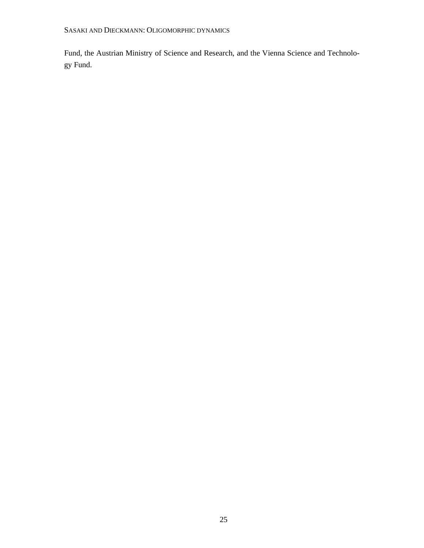Fund, the Austrian Ministry of Science and Research, and the Vienna Science and Technology Fund.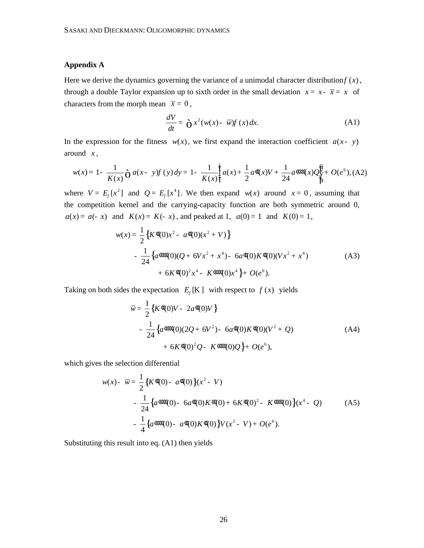## **Appendix A**

Here we derive the dynamics governing the variance of a unimodal character distribution  $f(x)$ , through a double Taylor expansion up to sixth order in the small deviation  $x = x - \overline{x} = x$  of characters from the morph mean  $\bar{x} = 0$ ,

$$
\frac{dV}{dt} = \mathbf{\hat{O}} x^2 (w(x) - \overline{w}) f(x) dx.
$$
 (A1)

In the expression for the fitness  $w(x)$ , we first expand the interaction coefficient  $a(x - y)$ around *x* ,

$$
w(x) = 1 - \frac{1}{K(x)} \partial a(x - y)f(y) dy = 1 - \frac{1}{K(x)} \int_{0}^{\frac{\pi}{2}} a(x) + \frac{1}{2} a \phi(x) V + \frac{1}{24} a \phi(x) Q_{\frac{\pi}{2}}^{\frac{\pi}{2}} + O(e^6), \text{(A2)}
$$

where  $V = E_f[x^2]$  and  $Q = E_f[x^4]$ . We then expand  $w(x)$  around  $x = 0$ , assuming that the competition kernel and the carrying-capacity function are both symmetric around 0,  $a(x) = a(-x)$  and  $K(x) = K(-x)$ , and peaked at 1,  $a(0) = 1$  and  $K(0) = 1$ ,

$$
w(x) = \frac{1}{2} \{ K \mathcal{R}(0)x^2 - a\mathcal{R}(0)(x^2 + V) \}
$$
  
- 
$$
\frac{1}{24} \{ a\mathcal{R}(0)(Q + 6Vx^2 + x^4) - 6a\mathcal{R}(0)K\mathcal{R}(0)(Vx^2 + x^4) + 6K\mathcal{R}(0)^2 x^4 - K\mathcal{R}(0)x^4 \} + O(e^6).
$$
 (A3)

Taking on both sides the expectation  $E<sub>f</sub>[K]$  with respect to  $f(x)$  yields

$$
\overline{w} = \frac{1}{2} \{ K \notin (0)V - 2a \notin (0)V \}
$$
  
- 
$$
\frac{1}{24} \{ a \notin (0)(2Q + 6V^{2}) - 6a \notin (0)K \notin (0)(V^{2} + Q) + 6K \notin (0)^{2}Q - K \notin (0)Q \} + O(e^{6}),
$$
 (A4)

which gives the selection differential

$$
w(x) - \overline{w} = \frac{1}{2} \{ K \notin (0) - a \notin (0) \} (x^2 - V)
$$
  
- 
$$
\frac{1}{24} \{ a \notin (0) - 6a \notin (0) K \notin (0) + 6K \notin (0)^2 - K \notin (0) \} (x^4 - Q)
$$
  
- 
$$
\frac{1}{4} \{ a \notin (0) - a \notin (0) K \notin (0) \} V (x^2 - V) + O(e^6).
$$
 (A5)

Substituting this result into eq. (A1) then yields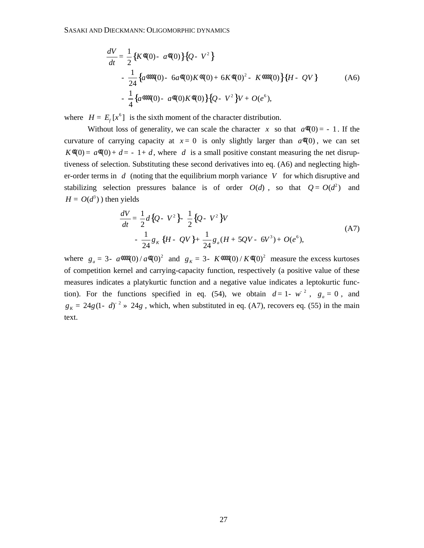$$
\frac{dV}{dt} = \frac{1}{2} \{ K \notin (0) - a \notin (0) \} \{ Q - V^2 \}
$$
  
- 
$$
\frac{1}{24} \{ a \notin (0) - 6a \notin (0) K \notin (0) + 6K \notin (0)^2 - K \notin (0) \} \{ H - QV \}
$$
 (A6)  
- 
$$
\frac{1}{4} \{ a \notin (0) - a \notin (0) K \notin (0) \} \{ Q - V^2 \} V + O(e^6),
$$

where  $H = E<sub>f</sub> [x<sup>6</sup>]$  is the sixth moment of the character distribution.

Without loss of generality, we can scale the character *x* so that  $a\phi(0) = -1$ . If the curvature of carrying capacity at  $x = 0$  is only slightly larger than  $a \notin (0)$ , we can set  $K \mathcal{R}(0) = a \mathcal{R}(0) + d = -1 + d$ , where *d* is a small positive constant measuring the net disruptiveness of selection. Substituting these second derivatives into eq. (A6) and neglecting higher-order terms in *d* (noting that the equilibrium morph variance *V* for which disruptive and stabilizing selection pressures balance is of order  $O(d)$ , so that  $Q = O(d^2)$  and  $H = O(d^3)$ ) then yields

$$
\frac{dV}{dt} = \frac{1}{2}d\{Q - V^2\} - \frac{1}{2}\{Q - V^2\}V
$$
\n
$$
- \frac{1}{24}g_K\{H - QV\} + \frac{1}{24}g_a(H + 5QV - 6V^3) + O(e^6),
$$
\n(A7)

where  $g_a = 3$ -  $a \cancel{\#}(\theta) / a \cancel{\#}(\theta)^2$  and  $g_k = 3$ -  $K \cancel{\#}(\theta) / K \cancel{\#}(\theta)^2$  measure the excess kurtoses of competition kernel and carrying-capacity function, respectively (a positive value of these measures indicates a platykurtic function and a negative value indicates a leptokurtic function). For the functions specified in eq. (54), we obtain  $d=1 - w^2$ ,  $g_a = 0$ , and  $g_K = 24g(1 - d)^{-2} \gg 24g$ , which, when substituted in eq. (A7), recovers eq. (55) in the main text.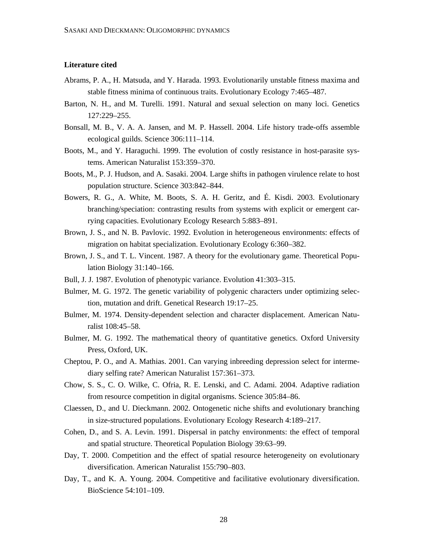# **Literature cited**

- Abrams, P. A., H. Matsuda, and Y. Harada. 1993. Evolutionarily unstable fitness maxima and stable fitness minima of continuous traits. Evolutionary Ecology 7:465–487.
- Barton, N. H., and M. Turelli. 1991. Natural and sexual selection on many loci. Genetics 127:229–255.
- Bonsall, M. B., V. A. A. Jansen, and M. P. Hassell. 2004. Life history trade-offs assemble ecological guilds. Science 306:111–114.
- Boots, M., and Y. Haraguchi. 1999. The evolution of costly resistance in host-parasite systems. American Naturalist 153:359–370.
- Boots, M., P. J. Hudson, and A. Sasaki. 2004. Large shifts in pathogen virulence relate to host population structure. Science 303:842–844.
- Bowers, R. G., A. White, M. Boots, S. A. H. Geritz, and É. Kisdi. 2003. Evolutionary branching/speciation: contrasting results from systems with explicit or emergent carrying capacities. Evolutionary Ecology Research 5:883–891.
- Brown, J. S., and N. B. Pavlovic. 1992. Evolution in heterogeneous environments: effects of migration on habitat specialization. Evolutionary Ecology 6:360–382.
- Brown, J. S., and T. L. Vincent. 1987. A theory for the evolutionary game. Theoretical Population Biology 31:140–166.
- Bull, J. J. 1987. Evolution of phenotypic variance. Evolution 41:303–315.
- Bulmer, M. G. 1972. The genetic variability of polygenic characters under optimizing selection, mutation and drift. Genetical Research 19:17–25.
- Bulmer, M. 1974. Density-dependent selection and character displacement. American Naturalist 108:45–58.
- Bulmer, M. G. 1992. The mathematical theory of quantitative genetics. Oxford University Press, Oxford, UK.
- Cheptou, P. O., and A. Mathias. 2001. Can varying inbreeding depression select for intermediary selfing rate? American Naturalist 157:361–373.
- Chow, S. S., C. O. Wilke, C. Ofria, R. E. Lenski, and C. Adami. 2004. Adaptive radiation from resource competition in digital organisms. Science 305:84–86.
- Claessen, D., and U. Dieckmann. 2002. Ontogenetic niche shifts and evolutionary branching in size-structured populations. Evolutionary Ecology Research 4:189–217.
- Cohen, D., and S. A. Levin. 1991. Dispersal in patchy environments: the effect of temporal and spatial structure. Theoretical Population Biology 39:63–99.
- Day, T. 2000. Competition and the effect of spatial resource heterogeneity on evolutionary diversification. American Naturalist 155:790–803.
- Day, T., and K. A. Young. 2004. Competitive and facilitative evolutionary diversification. BioScience 54:101–109.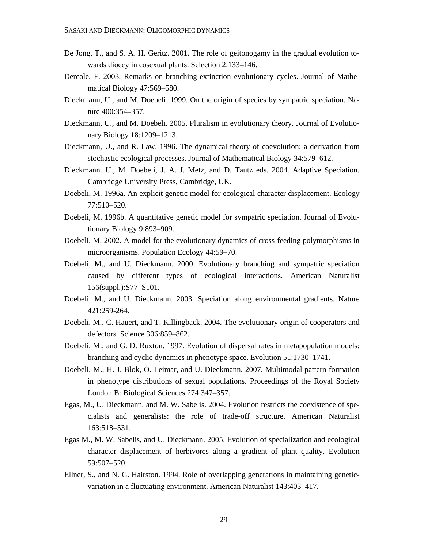- De Jong, T., and S. A. H. Geritz. 2001. The role of geitonogamy in the gradual evolution towards dioecy in cosexual plants. Selection 2:133–146.
- Dercole, F. 2003. Remarks on branching-extinction evolutionary cycles. Journal of Mathematical Biology 47:569–580.
- Dieckmann, U., and M. Doebeli. 1999. On the origin of species by sympatric speciation. Nature 400:354–357.
- Dieckmann, U., and M. Doebeli. 2005. Pluralism in evolutionary theory. Journal of Evolutionary Biology 18:1209–1213.
- Dieckmann, U., and R. Law. 1996. The dynamical theory of coevolution: a derivation from stochastic ecological processes. Journal of Mathematical Biology 34:579–612.
- Dieckmann. U., M. Doebeli, J. A. J. Metz, and D. Tautz eds. 2004. Adaptive Speciation. Cambridge University Press, Cambridge, UK.
- Doebeli, M. 1996a. An explicit genetic model for ecological character displacement. Ecology 77:510–520.
- Doebeli, M. 1996b. A quantitative genetic model for sympatric speciation. Journal of Evolutionary Biology 9:893–909.
- Doebeli, M. 2002. A model for the evolutionary dynamics of cross-feeding polymorphisms in microorganisms. Population Ecology 44:59–70.
- Doebeli, M., and U. Dieckmann. 2000. Evolutionary branching and sympatric speciation caused by different types of ecological interactions. American Naturalist 156(suppl.):S77–S101.
- Doebeli, M., and U. Dieckmann. 2003. Speciation along environmental gradients. Nature 421:259-264.
- Doebeli, M., C. Hauert, and T. Killingback. 2004. The evolutionary origin of cooperators and defectors. Science 306:859–862.
- Doebeli, M., and G. D. Ruxton. 1997. Evolution of dispersal rates in metapopulation models: branching and cyclic dynamics in phenotype space. Evolution 51:1730–1741.
- Doebeli, M., H. J. Blok, O. Leimar, and U. Dieckmann. 2007. Multimodal pattern formation in phenotype distributions of sexual populations. Proceedings of the Royal Society London B: Biological Sciences 274:347–357.
- Egas, M., U. Dieckmann, and M. W. Sabelis. 2004. Evolution restricts the coexistence of specialists and generalists: the role of trade-off structure. American Naturalist 163:518–531.
- Egas M., M. W. Sabelis, and U. Dieckmann. 2005. Evolution of specialization and ecological character displacement of herbivores along a gradient of plant quality. Evolution 59:507–520.
- Ellner, S., and N. G. Hairston. 1994. Role of overlapping generations in maintaining geneticvariation in a fluctuating environment. American Naturalist 143:403–417.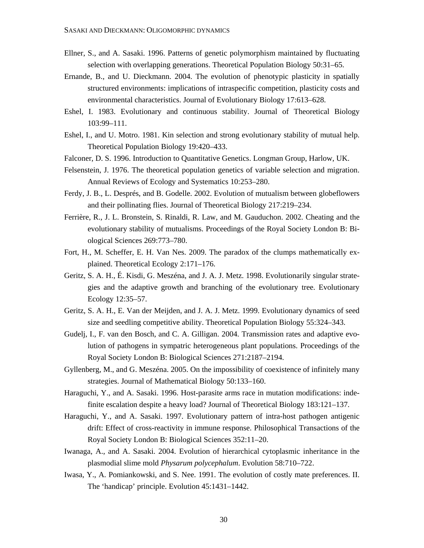- Ellner, S., and A. Sasaki. 1996. Patterns of genetic polymorphism maintained by fluctuating selection with overlapping generations. Theoretical Population Biology 50:31–65.
- Ernande, B., and U. Dieckmann. 2004. The evolution of phenotypic plasticity in spatially structured environments: implications of intraspecific competition, plasticity costs and environmental characteristics. Journal of Evolutionary Biology 17:613–628.
- Eshel, I. 1983. Evolutionary and continuous stability. Journal of Theoretical Biology 103:99–111.
- Eshel, I., and U. Motro. 1981. Kin selection and strong evolutionary stability of mutual help. Theoretical Population Biology 19:420–433.
- Falconer, D. S. 1996. Introduction to Quantitative Genetics. Longman Group, Harlow, UK.
- Felsenstein, J. 1976. The theoretical population genetics of variable selection and migration. Annual Reviews of Ecology and Systematics 10:253–280.
- Ferdy, J. B., L. Després, and B. Godelle. 2002. Evolution of mutualism between globeflowers and their pollinating flies. Journal of Theoretical Biology 217:219–234.
- Ferrière, R., J. L. Bronstein, S. Rinaldi, R. Law, and M. Gauduchon. 2002. Cheating and the evolutionary stability of mutualisms. Proceedings of the Royal Society London B: Biological Sciences 269:773–780.
- Fort, H., M. Scheffer, E. H. Van Nes. 2009. The paradox of the clumps mathematically explained. Theoretical Ecology 2:171–176.
- Geritz, S. A. H., É. Kisdi, G. Meszéna, and J. A. J. Metz. 1998. Evolutionarily singular strategies and the adaptive growth and branching of the evolutionary tree. Evolutionary Ecology 12:35–57.
- Geritz, S. A. H., E. Van der Meijden, and J. A. J. Metz. 1999. Evolutionary dynamics of seed size and seedling competitive ability. Theoretical Population Biology 55:324–343.
- Gudelj, I., F. van den Bosch, and C. A. Gilligan. 2004. Transmission rates and adaptive evolution of pathogens in sympatric heterogeneous plant populations. Proceedings of the Royal Society London B: Biological Sciences 271:2187–2194.
- Gyllenberg, M., and G. Meszéna. 2005. On the impossibility of coexistence of infinitely many strategies. Journal of Mathematical Biology 50:133–160.
- Haraguchi, Y., and A. Sasaki. 1996. Host-parasite arms race in mutation modifications: indefinite escalation despite a heavy load? Journal of Theoretical Biology 183:121–137.
- Haraguchi, Y., and A. Sasaki. 1997. Evolutionary pattern of intra-host pathogen antigenic drift: Effect of cross-reactivity in immune response. Philosophical Transactions of the Royal Society London B: Biological Sciences 352:11–20.
- Iwanaga, A., and A. Sasaki. 2004. Evolution of hierarchical cytoplasmic inheritance in the plasmodial slime mold *Physarum polycephalum*. Evolution 58:710–722.
- Iwasa, Y., A. Pomiankowski, and S. Nee. 1991. The evolution of costly mate preferences. II. The 'handicap' principle. Evolution 45:1431–1442.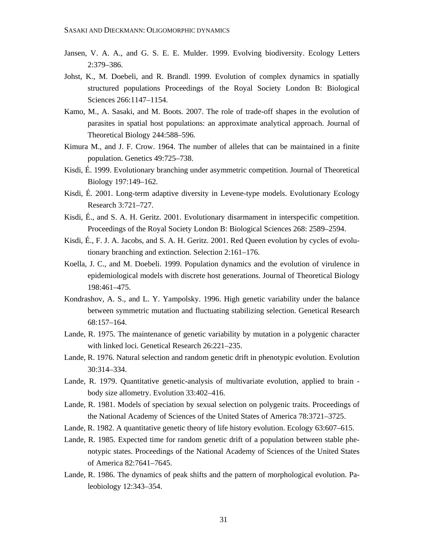- Jansen, V. A. A., and G. S. E. E. Mulder. 1999. Evolving biodiversity. Ecology Letters 2:379–386.
- Johst, K., M. Doebeli, and R. Brandl. 1999. Evolution of complex dynamics in spatially structured populations Proceedings of the Royal Society London B: Biological Sciences 266:1147–1154.
- Kamo, M., A. Sasaki, and M. Boots. 2007. The role of trade-off shapes in the evolution of parasites in spatial host populations: an approximate analytical approach. Journal of Theoretical Biology 244:588–596.
- Kimura M., and J. F. Crow. 1964. The number of alleles that can be maintained in a finite population. Genetics 49:725–738.
- Kisdi, É. 1999. Evolutionary branching under asymmetric competition. Journal of Theoretical Biology 197:149–162.
- Kisdi, É. 2001. Long-term adaptive diversity in Levene-type models. Evolutionary Ecology Research 3:721–727.
- Kisdi, É., and S. A. H. Geritz. 2001. Evolutionary disarmament in interspecific competition. Proceedings of the Royal Society London B: Biological Sciences 268: 2589–2594.
- Kisdi, É., F. J. A. Jacobs, and S. A. H. Geritz. 2001. Red Queen evolution by cycles of evolutionary branching and extinction. Selection 2:161–176.
- Koella, J. C., and M. Doebeli. 1999. Population dynamics and the evolution of virulence in epidemiological models with discrete host generations. Journal of Theoretical Biology 198:461–475.
- Kondrashov, A. S., and L. Y. Yampolsky. 1996. High genetic variability under the balance between symmetric mutation and fluctuating stabilizing selection. Genetical Research 68:157–164.
- Lande, R. 1975. The maintenance of genetic variability by mutation in a polygenic character with linked loci. Genetical Research 26:221–235.
- Lande, R. 1976. Natural selection and random genetic drift in phenotypic evolution. Evolution 30:314–334.
- Lande, R. 1979. Quantitative genetic-analysis of multivariate evolution, applied to brain body size allometry. Evolution 33:402–416.
- Lande, R. 1981. Models of speciation by sexual selection on polygenic traits. Proceedings of the National Academy of Sciences of the United States of America 78:3721–3725.
- Lande, R. 1982. A quantitative genetic theory of life history evolution. Ecology 63:607–615.
- Lande, R. 1985. Expected time for random genetic drift of a population between stable phenotypic states. Proceedings of the National Academy of Sciences of the United States of America 82:7641–7645.
- Lande, R. 1986. The dynamics of peak shifts and the pattern of morphological evolution. Paleobiology 12:343–354.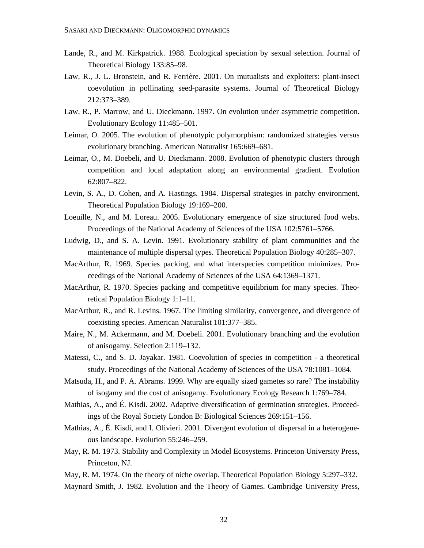- Lande, R., and M. Kirkpatrick. 1988. Ecological speciation by sexual selection. Journal of Theoretical Biology 133:85–98.
- Law, R., J. L. Bronstein, and R. Ferrière. 2001. On mutualists and exploiters: plant-insect coevolution in pollinating seed-parasite systems. Journal of Theoretical Biology 212:373–389.
- Law, R., P. Marrow, and U. Dieckmann. 1997. On evolution under asymmetric competition. Evolutionary Ecology 11:485–501.
- Leimar, O. 2005. The evolution of phenotypic polymorphism: randomized strategies versus evolutionary branching. American Naturalist 165:669–681.
- Leimar, O., M. Doebeli, and U. Dieckmann. 2008. Evolution of phenotypic clusters through competition and local adaptation along an environmental gradient. Evolution 62:807–822.
- Levin, S. A., D. Cohen, and A. Hastings. 1984. Dispersal strategies in patchy environment. Theoretical Population Biology 19:169–200.
- Loeuille, N., and M. Loreau. 2005. Evolutionary emergence of size structured food webs. Proceedings of the National Academy of Sciences of the USA 102:5761–5766.
- Ludwig, D., and S. A. Levin. 1991. Evolutionary stability of plant communities and the maintenance of multiple dispersal types. Theoretical Population Biology 40:285–307.
- MacArthur, R. 1969. Species packing, and what interspecies competition minimizes. Proceedings of the National Academy of Sciences of the USA 64:1369–1371.
- MacArthur, R. 1970. Species packing and competitive equilibrium for many species. Theoretical Population Biology 1:1–11.
- MacArthur, R., and R. Levins. 1967. The limiting similarity, convergence, and divergence of coexisting species. American Naturalist 101:377–385.
- Maire, N., M. Ackermann, and M. Doebeli. 2001. Evolutionary branching and the evolution of anisogamy. Selection 2:119–132.
- Matessi, C., and S. D. Jayakar. 1981. Coevolution of species in competition a theoretical study. Proceedings of the National Academy of Sciences of the USA 78:1081–1084.
- Matsuda, H., and P. A. Abrams. 1999. Why are equally sized gametes so rare? The instability of isogamy and the cost of anisogamy. Evolutionary Ecology Research 1:769–784.
- Mathias, A., and É. Kisdi. 2002. Adaptive diversification of germination strategies. Proceedings of the Royal Society London B: Biological Sciences 269:151–156.
- Mathias, A., É. Kisdi, and I. Olivieri. 2001. Divergent evolution of dispersal in a heterogeneous landscape. Evolution 55:246–259.
- May, R. M. 1973. Stability and Complexity in Model Ecosystems. Princeton University Press, Princeton, NJ.

May, R. M. 1974. On the theory of niche overlap. Theoretical Population Biology 5:297–332. Maynard Smith, J. 1982. Evolution and the Theory of Games. Cambridge University Press,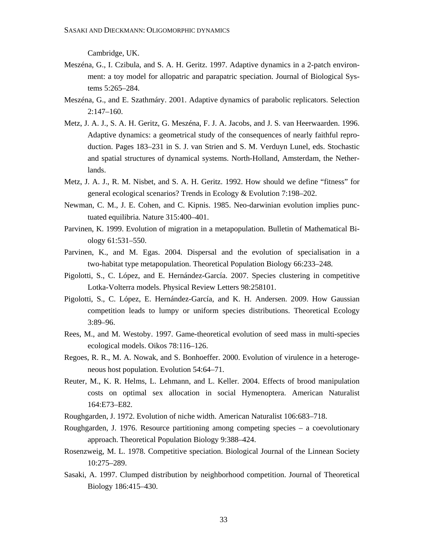Cambridge, UK.

- Meszéna, G., I. Czibula, and S. A. H. Geritz. 1997. Adaptive dynamics in a 2-patch environment: a toy model for allopatric and parapatric speciation. Journal of Biological Systems 5:265–284.
- Meszéna, G., and E. Szathmáry. 2001. Adaptive dynamics of parabolic replicators. Selection 2:147–160.
- Metz, J. A. J., S. A. H. Geritz, G. Meszéna, F. J. A. Jacobs, and J. S. van Heerwaarden. 1996. Adaptive dynamics: a geometrical study of the consequences of nearly faithful reproduction. Pages 183–231 in S. J. van Strien and S. M. Verduyn Lunel, eds. Stochastic and spatial structures of dynamical systems. North-Holland, Amsterdam, the Netherlands.
- Metz, J. A. J., R. M. Nisbet, and S. A. H. Geritz. 1992. How should we define "fitness" for general ecological scenarios? Trends in Ecology & Evolution 7:198–202.
- Newman, C. M., J. E. Cohen, and C. Kipnis. 1985. Neo-darwinian evolution implies punctuated equilibria. Nature 315:400–401.
- Parvinen, K. 1999. Evolution of migration in a metapopulation. Bulletin of Mathematical Biology 61:531–550.
- Parvinen, K., and M. Egas. 2004. Dispersal and the evolution of specialisation in a two-habitat type metapopulation. Theoretical Population Biology 66:233–248.
- Pigolotti, S., C. López, and E. Hernández-García. 2007. Species clustering in competitive Lotka-Volterra models. Physical Review Letters 98:258101.
- Pigolotti, S., C. López, E. Hernández-García, and K. H. Andersen. 2009. How Gaussian competition leads to lumpy or uniform species distributions. Theoretical Ecology 3:89–96.
- Rees, M., and M. Westoby. 1997. Game-theoretical evolution of seed mass in multi-species ecological models. Oikos 78:116–126.
- Regoes, R. R., M. A. Nowak, and S. Bonhoeffer. 2000. Evolution of virulence in a heterogeneous host population. Evolution 54:64–71.
- Reuter, M., K. R. Helms, L. Lehmann, and L. Keller. 2004. Effects of brood manipulation costs on optimal sex allocation in social Hymenoptera. American Naturalist 164:E73–E82.
- Roughgarden, J. 1972. Evolution of niche width. American Naturalist 106:683–718.
- Roughgarden, J. 1976. Resource partitioning among competing species a coevolutionary approach. Theoretical Population Biology 9:388–424.
- Rosenzweig, M. L. 1978. Competitive speciation. Biological Journal of the Linnean Society 10:275–289.
- Sasaki, A. 1997. Clumped distribution by neighborhood competition. Journal of Theoretical Biology 186:415–430.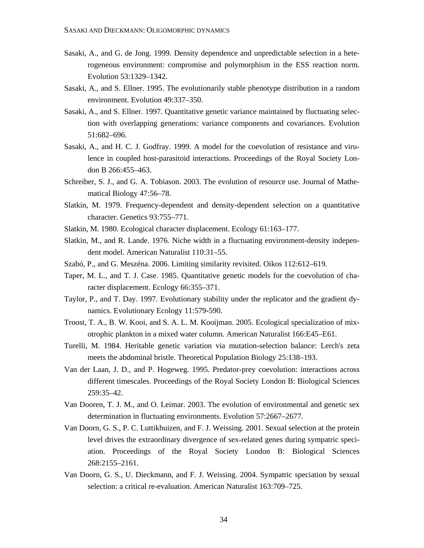- Sasaki, A., and G. de Jong. 1999. Density dependence and unpredictable selection in a heterogeneous environment: compromise and polymorphism in the ESS reaction norm. Evolution 53:1329–1342.
- Sasaki, A., and S. Ellner. 1995. The evolutionarily stable phenotype distribution in a random environment. Evolution 49:337–350.
- Sasaki, A., and S. Ellner. 1997. Quantitative genetic variance maintained by fluctuating selection with overlapping generations: variance components and covariances. Evolution 51:682–696.
- Sasaki, A., and H. C. J. Godfray. 1999. A model for the coevolution of resistance and virulence in coupled host-parasitoid interactions. Proceedings of the Royal Society London B 266:455–463.
- Schreiber, S. J., and G. A. Tobiason. 2003. The evolution of resource use. Journal of Mathematical Biology 47:56–78.
- Slatkin, M. 1979. Frequency-dependent and density-dependent selection on a quantitative character. Genetics 93:755–771.
- Slatkin, M. 1980. Ecological character displacement. Ecology 61:163–177.
- Slatkin, M., and R. Lande. 1976. Niche width in a fluctuating environment-density independent model. American Naturalist 110:31–55.
- Szabó, P., and G. Meszéna. 2006. Limiting similarity revisited. Oikos 112:612–619.
- Taper, M. L., and T. J. Case. 1985. Quantitative genetic models for the coevolution of character displacement. Ecology 66:355–371.
- Taylor, P., and T. Day. 1997. Evolutionary stability under the replicator and the gradient dynamics. Evolutionary Ecology 11:579-590.
- Troost, T. A., B. W. Kooi, and S. A. L. M. Kooijman. 2005. Ecological specialization of mixotrophic plankton in a mixed water column. American Naturalist 166:E45–E61.
- Turelli, M. 1984. Heritable genetic variation via mutation-selection balance: Lerch's zeta meets the abdominal bristle. Theoretical Population Biology 25:138–193.
- Van der Laan, J. D., and P. Hogeweg. 1995. Predator-prey coevolution: interactions across different timescales. Proceedings of the Royal Society London B: Biological Sciences 259:35–42.
- Van Dooren, T. J. M., and O. Leimar. 2003. The evolution of environmental and genetic sex determination in fluctuating environments. Evolution 57:2667–2677.
- Van Doorn, G. S., P. C. Luttikhuizen, and F. J. Weissing. 2001. Sexual selection at the protein level drives the extraordinary divergence of sex-related genes during sympatric speciation. Proceedings of the Royal Society London B: Biological Sciences 268:2155–2161.
- Van Doorn, G. S., U. Dieckmann, and F. J. Weissing. 2004. Sympatric speciation by sexual selection: a critical re-evaluation. American Naturalist 163:709–725.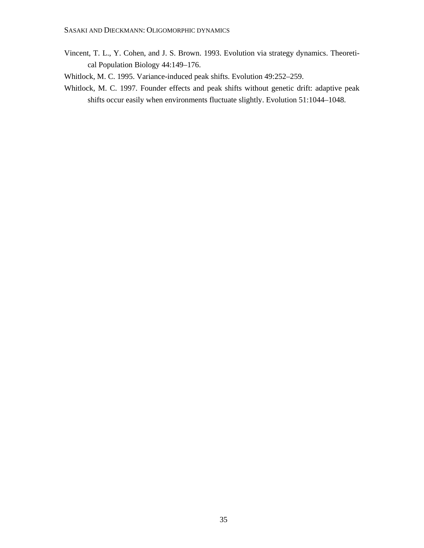- Vincent, T. L., Y. Cohen, and J. S. Brown. 1993. Evolution via strategy dynamics. Theoretical Population Biology 44:149–176.
- Whitlock, M. C. 1995. Variance-induced peak shifts. Evolution 49:252–259.
- Whitlock, M. C. 1997. Founder effects and peak shifts without genetic drift: adaptive peak shifts occur easily when environments fluctuate slightly. Evolution 51:1044–1048.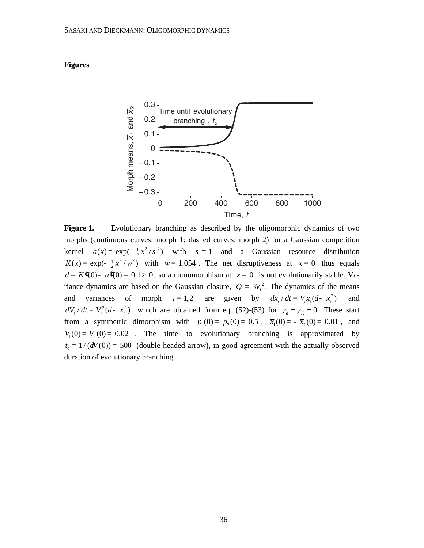

## **Figures**

Figure 1. Evolutionary branching as described by the oligomorphic dynamics of two morphs (continuous curves: morph 1; dashed curves: morph 2) for a Gaussian competition kernel  $a(x) = \exp(-\frac{1}{2}x^2/s^2)$  with  $s = 1$  and a Gaussian resource distribution  $K(x) = \exp(-\frac{1}{2}x^2/w^2)$  with  $w = 1.054$ . The net disruptiveness at  $x = 0$  thus equals  $d = K\mathcal{R}(0)$ -  $a\mathcal{R}(0) = 0.1 > 0$ , so a monomorphism at  $x = 0$  is not evolutionarily stable. Variance dynamics are based on the Gaussian closure,  $Q_i = 3V_i^2$ . The dynamics of the means and variances of morph  $i = 1, 2$  are given by  $d\overline{x}_i / dt = V_i \overline{x}_i (d - \overline{x}_i^2)$  and  $dV_i / dt = V_i^2 (d - \bar{x}_i^2)$ , which are obtained from eq. (52)-(53) for  $\gamma_a = \gamma_K = 0$ . These start from a symmetric dimorphism with  $p_1(0) = p_2(0) = 0.5$ ,  $\bar{x}_1(0) = -\bar{x}_2(0) = 0.01$ , and  $V_1(0) = V_2(0) = 0.02$ . The time to evolutionary branching is approximated by  $t_c = 1/(dV(0)) = 500$  (double-headed arrow), in good agreement with the actually observed duration of evolutionary branching.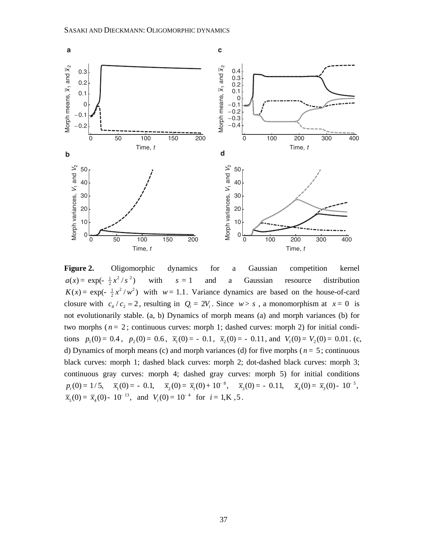

**Figure 2.** Oligomorphic dynamics for a Gaussian competition kernel  $a(x) = \exp(-\frac{1}{2}x^2/s^2)$  with  $s = 1$  and a Gaussian resource distribution  $K(x) = \exp(-\frac{1}{2}x^2/w^2)$  with  $w = 1.1$ . Variance dynamics are based on the house-of-card closure with  $c_4 / c_2 = 2$ , resulting in  $Q_i = 2V_i$ . Since  $w > s$ , a monomorphism at  $x = 0$  is not evolutionarily stable. (a, b) Dynamics of morph means (a) and morph variances (b) for two morphs ( $n = 2$ ; continuous curves: morph 1; dashed curves: morph 2) for initial conditions  $p_1(0) = 0.4$ ,  $p_2(0) = 0.6$ ,  $\overline{x}_1(0) = -0.1$ ,  $\overline{x}_2(0) = -0.11$ , and  $V_1(0) = V_2(0) = 0.01$ . (c, d) Dynamics of morph means (c) and morph variances (d) for five morphs ( $n = 5$ ; continuous black curves: morph 1; dashed black curves: morph 2; dot-dashed black curves: morph 3; continuous gray curves: morph 4; dashed gray curves: morph 5) for initial conditions  $p_i(0) = 1/5$ ,  $\bar{x}_1(0) = -0.1$ ,  $\bar{x}_2(0) = \bar{x}_1(0) + 10^{-8}$ ,  $\bar{x}_3(0) = -0.11$ ,  $\bar{x}_4(0) = \bar{x}_3(0) - 10^{-5}$ ,  $\overline{x}_5(0) = \overline{x}_4(0)$ - 10<sup>-13</sup>, and  $V_i(0) = 10^{-4}$  for  $i = 1, K, 5$ .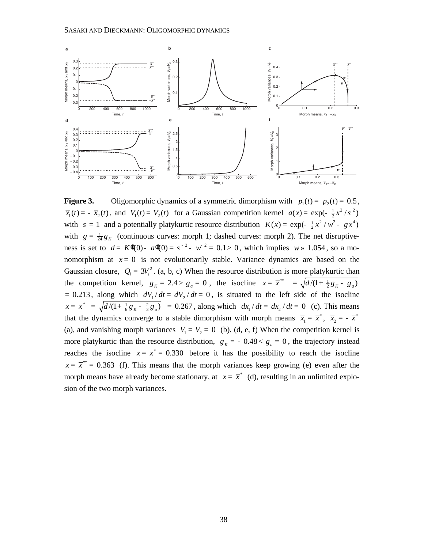

**Figure 3.** Oligomorphic dynamics of a symmetric dimorphism with  $p_1(t) = p_2(t) = 0.5$ ,  $\overline{x}_1(t) = -\overline{x}_2(t)$ , and  $V_1(t) = V_2(t)$  for a Gaussian competition kernel  $a(x) = \exp(-\frac{1}{2}x^2/s^2)$ with  $s = 1$  and a potentially platykurtic resource distribution  $K(x) = \exp(-\frac{1}{2}x^2/w^2 - gx^4)$ with  $g = \frac{1}{24} g_K$  (continuous curves: morph 1; dashed curves: morph 2). The net disruptiveness is set to  $d = K \phi(0) - a \phi(0) = s^{-2} - w^{-2} = 0.1 > 0$ , which implies  $w \gg 1.054$ , so a monomorphism at  $x = 0$  is not evolutionarily stable. Variance dynamics are based on the Gaussian closure,  $Q_i = 3V_i^2$ . (a, b, c) When the resource distribution is more platykurtic than the competition kernel,  $g_K = 2.4 > g_a = 0$ , the isocline  $x = \overline{x}^* = \sqrt{d/(1 + \frac{1}{2}g_K - g_a)}$  $= 0.213$ , along which  $dV_1/dt = dV_2/dt = 0$ , is situated to the left side of the isocline  $x = \bar{x}^* = \sqrt{d/(1 + \frac{1}{6}g_K - \frac{2}{3}g_a)} = 0.267$ , along which  $d\bar{x}_1/dt = d\bar{x}_2/dt = 0$  (c). This means that the dynamics converge to a stable dimorphism with morph means  $\bar{x}_1 = \bar{x}^*$ ,  $\bar{x}_2 = -\bar{x}^*$ (a), and vanishing morph variances  $V_1 = V_2 = 0$  (b). (d, e, f) When the competition kernel is more platykurtic than the resource distribution,  $g_K = -0.48 < g_a = 0$ , the trajectory instead reaches the isocline  $x = \overline{x}^* = 0.330$  before it has the possibility to reach the isocline  $x = \overline{x}^* = 0.363$  (f). This means that the morph variances keep growing (e) even after the morph means have already become stationary, at  $x = \overline{x}^*$  (d), resulting in an unlimited explosion of the two morph variances.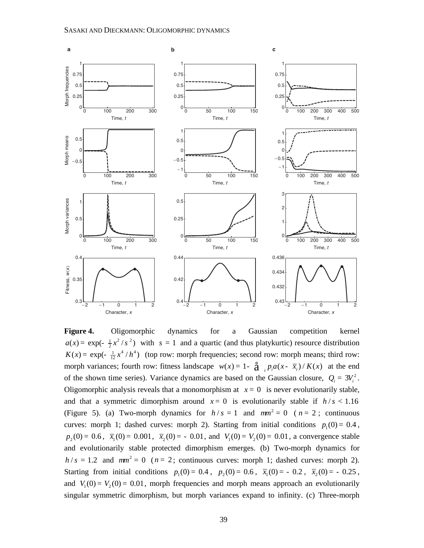

Figure 4. Oligomorphic dynamics for a Gaussian competition kernel  $a(x) = \exp(-\frac{1}{2}x^2/s^2)$  with  $s = 1$  and a quartic (and thus platykurtic) resource distribution  $K(x) = \exp(-\frac{1}{12}x^4/h^4)$  (top row: morph frequencies; second row: morph means; third row: morph variances; fourth row: fitness landscape  $w(x) = 1 - \frac{8}{9}$  *i*  $p_i a(x - \overline{x}_i) / K(x)$  at the end of the shown time series). Variance dynamics are based on the Gaussian closure,  $Q_i = 3V_i^2$ . Oligomorphic analysis reveals that a monomorphism at  $x = 0$  is never evolutionarily stable, and that a symmetric dimorphism around  $x = 0$  is evolutionarily stable if  $h/s < 1.16$ (Figure 5). (a) Two-morph dynamics for  $h/s = 1$  and  $mm^2 = 0$  ( $n = 2$ ; continuous curves: morph 1; dashed curves: morph 2). Starting from initial conditions  $p_1(0) = 0.4$ ,  $p_2(0) = 0.6$ ,  $\bar{x}_1(0) = 0.001$ ,  $\bar{x}_2(0) = -0.01$ , and  $V_1(0) = V_2(0) = 0.01$ , a convergence stable and evolutionarily stable protected dimorphism emerges. (b) Two-morph dynamics for  $h/s = 1.2$  and  $mm^2 = 0$  ( $n = 2$ ; continuous curves: morph 1; dashed curves: morph 2). Starting from initial conditions  $p_1(0) = 0.4$ ,  $p_2(0) = 0.6$ ,  $\bar{x}_1(0) = -0.2$ ,  $\bar{x}_2(0) = -0.25$ , and  $V_1(0) = V_2(0) = 0.01$ , morph frequencies and morph means approach an evolutionarily singular symmetric dimorphism, but morph variances expand to infinity. (c) Three-morph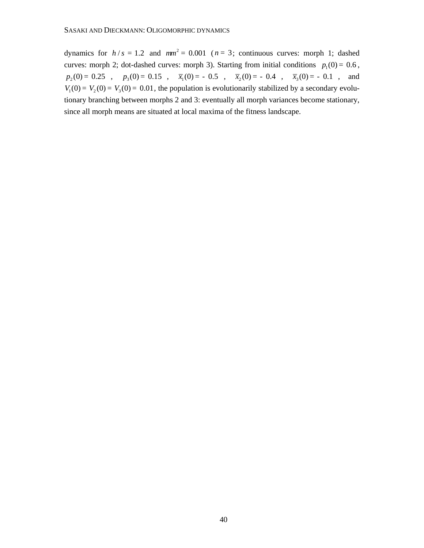dynamics for  $h/s = 1.2$  and  $mm^2 = 0.001$  ( $n = 3$ ; continuous curves: morph 1; dashed curves: morph 2; dot-dashed curves: morph 3). Starting from initial conditions  $p_1(0) = 0.6$ ,  $p_2(0) = 0.25$ ,  $p_3(0) = 0.15$ ,  $\overline{x}_1(0) = -0.5$ ,  $\overline{x}_2(0) = -0.4$ ,  $\overline{x}_3(0) = -0.1$ , and  $V_1(0) = V_2(0) = V_3(0) = 0.01$ , the population is evolutionarily stabilized by a secondary evolutionary branching between morphs 2 and 3: eventually all morph variances become stationary, since all morph means are situated at local maxima of the fitness landscape.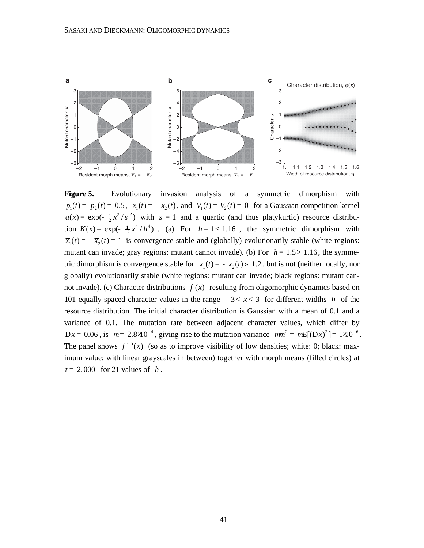

**Figure 5.** Evolutionary invasion analysis of a symmetric dimorphism with  $p_1(t) = p_2(t) = 0.5$ ,  $\overline{x}_1(t) = -\overline{x}_2(t)$ , and  $V_1(t) = V_2(t) = 0$  for a Gaussian competition kernel  $a(x) = \exp(-\frac{1}{2}x^2/s^2)$  with  $s = 1$  and a quartic (and thus platykurtic) resource distribution  $K(x) = \exp(-\frac{1}{12}x^4/h^4)$ . (a) For  $h = 1 < 1.16$ , the symmetric dimorphism with  $\overline{x}_1(t) = -\overline{x}_2(t) = 1$  is convergence stable and (globally) evolutionarily stable (white regions: mutant can invade; gray regions: mutant cannot invade). (b) For  $h = 1.5 > 1.16$ , the symmetric dimorphism is convergence stable for  $\overline{x}_1(t) = -\overline{x}_2(t) \times 1.2$ , but is not (neither locally, nor globally) evolutionarily stable (white regions: mutant can invade; black regions: mutant cannot invade). (c) Character distributions  $f(x)$  resulting from oligomorphic dynamics based on 101 equally spaced character values in the range  $-3 < x < 3$  for different widths *h* of the resource distribution. The initial character distribution is Gaussian with a mean of 0.1 and a variance of 0.1. The mutation rate between adjacent character values, which differ by  $Dx = 0.06$ , is  $m = 2.8 \times 10^{-4}$ , giving rise to the mutation variance  $mm^2 = mE[(Dx)^2] = 1 \times 10^{-6}$ . The panel shows  $f^{0.5}(x)$  (so as to improve visibility of low densities; white: 0; black: maximum value; with linear grayscales in between) together with morph means (filled circles) at  $t = 2,000$  for 21 values of *h*.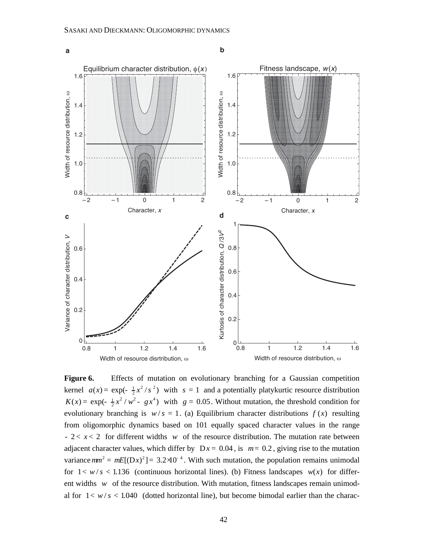

**Figure 6.** Effects of mutation on evolutionary branching for a Gaussian competition kernel  $a(x) = \exp(-\frac{1}{2}x^2/s^2)$  with  $s = 1$  and a potentially platykurtic resource distribution  $K(x) = \exp(-\frac{1}{2}x^2/w^2 - gx^4)$  with  $g = 0.05$ . Without mutation, the threshold condition for evolutionary branching is  $w/s = 1$ . (a) Equilibrium character distributions  $f(x)$  resulting from oligomorphic dynamics based on 101 equally spaced character values in the range  $-2 < x < 2$  for different widths *w* of the resource distribution. The mutation rate between adjacent character values, which differ by  $Dx = 0.04$ , is  $m = 0.2$ , giving rise to the mutation variance  $mm^2 = mE[(Dx)^2] = 3.2 \times 10^{-4}$ . With such mutation, the population remains unimodal for  $1 \lt w / s \lt 1.136$  (continuous horizontal lines). (b) Fitness landscapes  $w(x)$  for different widths *w* of the resource distribution. With mutation, fitness landscapes remain unimodal for  $1 < w / s < 1.040$  (dotted horizontal line), but become bimodal earlier than the charac-